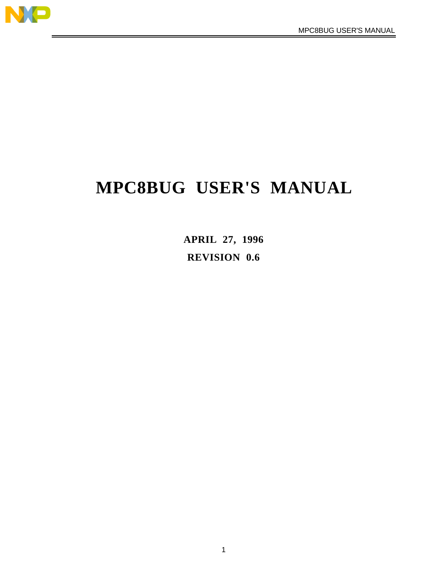

# **MPC8BUG USER'S MANUAL**

**APRIL 27, 1996 REVISION 0.6**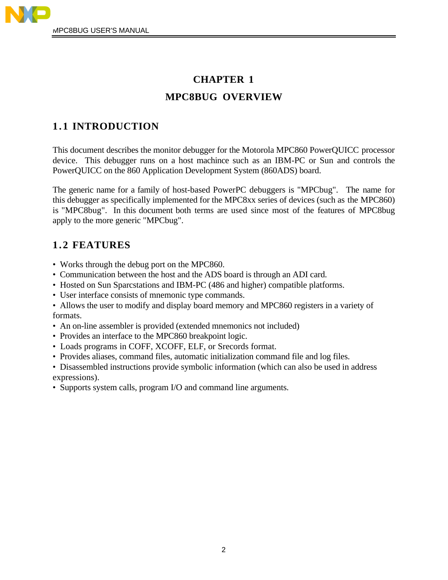

## **CHAPTER 1 MPC8BUG OVERVIEW**

## **1.1 INTRODUCTION**

This document describes the monitor debugger for the Motorola MPC860 PowerQUICC processor device. This debugger runs on a host machince such as an IBM-PC or Sun and controls the PowerQUICC on the 860 Application Development System (860ADS) board.

The generic name for a family of host-based PowerPC debuggers is "MPCbug". The name for this debugger as specifically implemented for the MPC8xx series of devices (such as the MPC860) is "MPC8bug". In this document both terms are used since most of the features of MPC8bug apply to the more generic "MPCbug".

## **1.2 FEATURES**

- Works through the debug port on the MPC860.
- Communication between the host and the ADS board is through an ADI card.
- Hosted on Sun Sparcstations and IBM-PC (486 and higher) compatible platforms.
- User interface consists of mnemonic type commands.
- Allows the user to modify and display board memory and MPC860 registers in a variety of formats.
- An on-line assembler is provided (extended mnemonics not included)
- Provides an interface to the MPC860 breakpoint logic.
- Loads programs in COFF, XCOFF, ELF, or Srecords format.
- Provides aliases, command files, automatic initialization command file and log files.
- Disassembled instructions provide symbolic information (which can also be used in address expressions).
- Supports system calls, program I/O and command line arguments.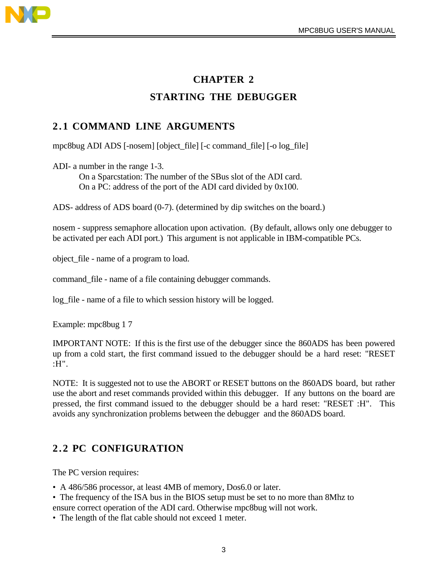

## **CHAPTER 2 STARTING THE DEBUGGER**

## **2.1 COMMAND LINE ARGUMENTS**

mpc8bug ADI ADS [-nosem] [object\_file] [-c command\_file] [-o log\_file]

ADI- a number in the range 1-3.

On a Sparcstation: The number of the SBus slot of the ADI card. On a PC: address of the port of the ADI card divided by 0x100.

ADS- address of ADS board (0-7). (determined by dip switches on the board.)

nosem - suppress semaphore allocation upon activation. (By default, allows only one debugger to be activated per each ADI port.) This argument is not applicable in IBM-compatible PCs.

object\_file - name of a program to load.

command\_file - name of a file containing debugger commands.

log\_file - name of a file to which session history will be logged.

Example: mpc8bug 1 7

IMPORTANT NOTE: If this is the first use of the debugger since the 860ADS has been powered up from a cold start, the first command issued to the debugger should be a hard reset: "RESET :H".

NOTE: It is suggested not to use the ABORT or RESET buttons on the 860ADS board, but rather use the abort and reset commands provided within this debugger. If any buttons on the board are pressed, the first command issued to the debugger should be a hard reset: "RESET :H". This avoids any synchronization problems between the debugger and the 860ADS board.

## **2.2 PC CONFIGURATION**

The PC version requires:

- A 486/586 processor, at least 4MB of memory, Dos6.0 or later.
- The frequency of the ISA bus in the BIOS setup must be set to no more than 8Mhz to ensure correct operation of the ADI card. Otherwise mpc8bug will not work.
- The length of the flat cable should not exceed 1 meter.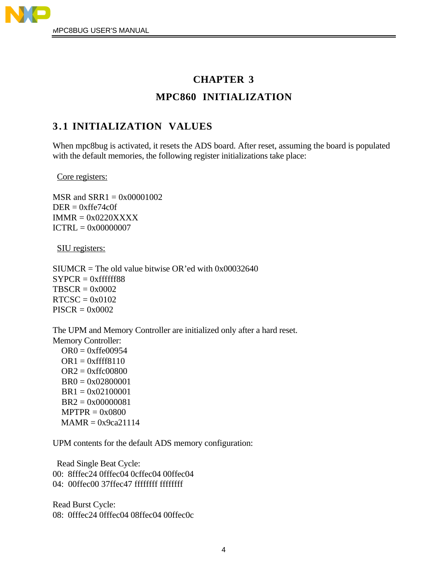

## **CHAPTER 3 MPC860 INITIALIZATION**

## **3.1 INITIALIZATION VALUES**

When mpc8bug is activated, it resets the ADS board. After reset, assuming the board is populated with the default memories, the following register initializations take place:

Core registers:

 $MSR$  and  $SRR1 = 0x00001002$  $DER = 0$ xffe $74c0f$  $IMMR = 0x0220XXXX$  $ICTRL = 0x00000007$ 

SIU registers:

 $SIUMCR = The old value bitwise OR'ed with  $0x00032640$$  $SYPCR = 0xffffff88$  $TBSCR = 0x0002$  $RTCSC = 0x0102$  $PISCR = 0x0002$ 

The UPM and Memory Controller are initialized only after a hard reset. Memory Controller:  $OR0 = 0$ xffe $00954$  $OR1 = 0$ xffff8110  $OR2 = 0$ xffc $00800$ 

 BR0 = 0x02800001 BR1 = 0x02100001 BR2 = 0x00000081  $MPTPR = 0x0800$  $MAMR = 0x9ca21114$ 

UPM contents for the default ADS memory configuration:

 Read Single Beat Cycle: 00: 8fffec24 0fffec04 0cffec04 00ffec04 04: 00ffec00 37ffec47 ffffffff ffffffff

Read Burst Cycle: 08: 0fffec24 0fffec04 08ffec04 00ffec0c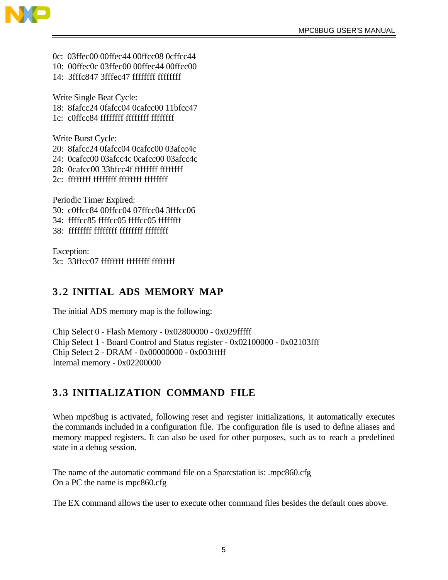

- 0c: 03ffec00 00ffec44 00ffcc08 0cffcc44
- 10: 00ffec0c 03ffec00 00ffec44 00ffcc00
- 14: 3fffc847 3fffec47 ffffffff ffffffff

Write Single Beat Cycle: 18: 8fafcc24 0fafcc04 0cafcc00 11bfcc47 1c: c0ffcc84 ffffffff ffffffff ffffffff

Write Burst Cycle:

- 20: 8fafcc24 0fafcc04 0cafcc00 03afcc4c
- 24: 0cafcc00 03afcc4c 0cafcc00 03afcc4c
- 28: 0cafcc00 33bfcc4f ffffffff ffffffff
- 2c: ffffffff ffffffff ffffffff ffffffff

Periodic Timer Expired: 30: c0ffcc84 00ffcc04 07ffcc04 3fffcc06

- 34: ffffcc85 ffffcc05 ffffcc05 ffffffff
- 38: ffffffff ffffffff ffffffff ffffffff

Exception: 3c: 33ffcc07 ffffffff ffffffff ffffffff

## **3.2 INITIAL ADS MEMORY MAP**

The initial ADS memory map is the following:

Chip Select 0 - Flash Memory - 0x02800000 - 0x029fffff Chip Select 1 - Board Control and Status register - 0x02100000 - 0x02103fff Chip Select 2 - DRAM - 0x00000000 - 0x003fffff Internal memory - 0x02200000

## **3.3 INITIALIZATION COMMAND FILE**

When mpc8bug is activated, following reset and register initializations, it automatically executes the commands included in a configuration file. The configuration file is used to define aliases and memory mapped registers. It can also be used for other purposes, such as to reach a predefined state in a debug session.

The name of the automatic command file on a Sparcstation is: .mpc860.cfg On a PC the name is mpc860.cfg

The EX command allows the user to execute other command files besides the default ones above.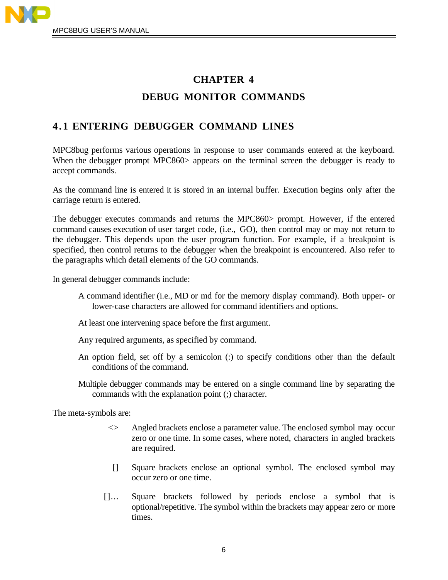

## **CHAPTER 4 DEBUG MONITOR COMMANDS**

## **4.1 ENTERING DEBUGGER COMMAND LINES**

MPC8bug performs various operations in response to user commands entered at the keyboard. When the debugger prompt MPC860> appears on the terminal screen the debugger is ready to accept commands.

As the command line is entered it is stored in an internal buffer. Execution begins only after the carriage return is entered.

The debugger executes commands and returns the MPC860> prompt. However, if the entered command causes execution of user target code, (i.e., GO), then control may or may not return to the debugger. This depends upon the user program function. For example, if a breakpoint is specified, then control returns to the debugger when the breakpoint is encountered. Also refer to the paragraphs which detail elements of the GO commands.

In general debugger commands include:

- A command identifier (i.e., MD or md for the memory display command). Both upper- or lower-case characters are allowed for command identifiers and options.
- At least one intervening space before the first argument.
- Any required arguments, as specified by command.
- An option field, set off by a semicolon (:) to specify conditions other than the default conditions of the command.
- Multiple debugger commands may be entered on a single command line by separating the commands with the explanation point (;) character.

The meta-symbols are:

- <> Angled brackets enclose a parameter value. The enclosed symbol may occur zero or one time. In some cases, where noted, characters in angled brackets are required.
- [] Square brackets enclose an optional symbol. The enclosed symbol may occur zero or one time.
- []... Square brackets followed by periods enclose a symbol that is optional/repetitive. The symbol within the brackets may appear zero or more times.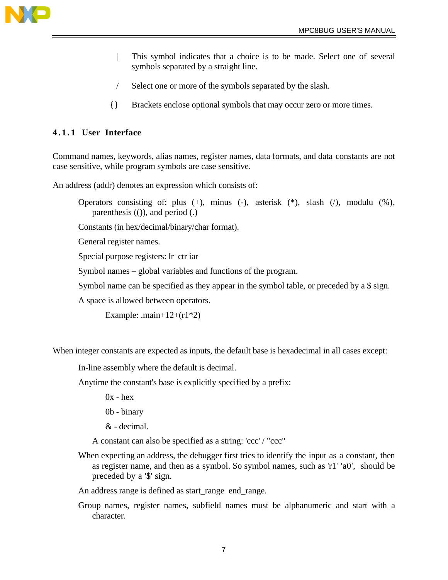

- | This symbol indicates that a choice is to be made. Select one of several symbols separated by a straight line.
- / Select one or more of the symbols separated by the slash.
- {} Brackets enclose optional symbols that may occur zero or more times.

### **4.1.1 User Interface**

Command names, keywords, alias names, register names, data formats, and data constants are not case sensitive, while program symbols are case sensitive.

An address (addr) denotes an expression which consists of:

Operators consisting of: plus (+), minus (-), asterisk (\*), slash (/), modulu (%), parenthesis (()), and period (.)

Constants (in hex/decimal/binary/char format).

General register names.

Special purpose registers: lr ctr iar

Symbol names – global variables and functions of the program.

Symbol name can be specified as they appear in the symbol table, or preceded by a \$ sign.

A space is allowed between operators.

Example:  $\text{.main}+12+\text{(r1*2)}$ 

When integer constants are expected as inputs, the default base is hexadecimal in all cases except:

In-line assembly where the default is decimal.

Anytime the constant's base is explicitly specified by a prefix:

 $0x - hex$ 

0b - binary

& - decimal.

A constant can also be specified as a string: 'ccc' / "ccc"

When expecting an address, the debugger first tries to identify the input as a constant, then as register name, and then as a symbol. So symbol names, such as 'r1' 'a0', should be preceded by a '\$' sign.

An address range is defined as start\_range end\_range.

Group names, register names, subfield names must be alphanumeric and start with a character.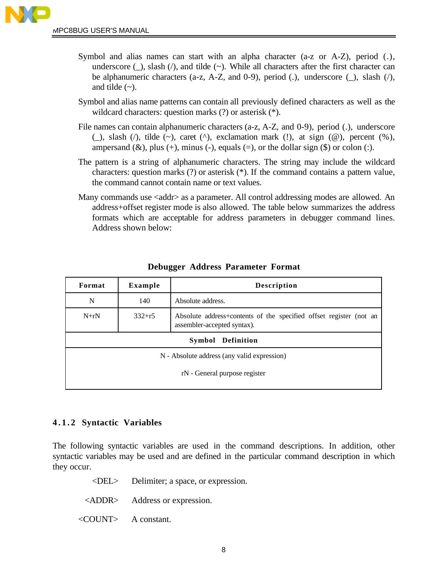- Symbol and alias names can start with an alpha character (a-z or A-Z), period (.), underscore  $(\_)$ , slash  $(\!/)$ , and tilde  $(\sim)$ . While all characters after the first character can be alphanumeric characters (a-z, A-Z, and 0-9), period (.), underscore ( $\alpha$ ), slash ( $\beta$ ), and tilde  $(\sim)$ .
- Symbol and alias name patterns can contain all previously defined characters as well as the wildcard characters: question marks (?) or asterisk (\*).
- File names can contain alphanumeric characters (a-z, A-Z, and 0-9), period (.), underscore (\_), slash ( $\prime$ ), tilde (~), caret ( $\prime$ ), exclamation mark (!), at sign ( $\omega$ ), percent (%), ampersand  $(\&)$ , plus  $(+)$ , minus  $(-)$ , equals  $(=)$ , or the dollar sign  $(\$)$  or colon  $(.)$ .
- The pattern is a string of alphanumeric characters. The string may include the wildcard characters: question marks (?) or asterisk (\*). If the command contains a pattern value, the command cannot contain name or text values.
- Many commands use <addr> as a parameter. All control addressing modes are allowed. An address+offset register mode is also allowed. The table below summarizes the address formats which are acceptable for address parameters in debugger command lines. Address shown below:

| Format                                      | Example    | <b>Description</b>                                                                                |  |
|---------------------------------------------|------------|---------------------------------------------------------------------------------------------------|--|
| N                                           | 140        | Absolute address.                                                                                 |  |
| $N+rN$                                      | $332 + r5$ | Absolute address+contents of the specified offset register (not an<br>assembler-accepted syntax). |  |
| Definition<br>Symbol                        |            |                                                                                                   |  |
| N - Absolute address (any valid expression) |            |                                                                                                   |  |
| rN - General purpose register               |            |                                                                                                   |  |
|                                             |            |                                                                                                   |  |

### **Debugger Address Parameter Format**

### **4.1.2 Syntactic Variables**

The following syntactic variables are used in the command descriptions. In addition, other syntactic variables may be used and are defined in the particular command description in which they occur.

| $\langle$ DEL $>$ Delimiter; a space, or expression. |
|------------------------------------------------------|
| <addr> Address or expression.</addr>                 |
| $\langle \text{COUNT} \rangle$ A constant.           |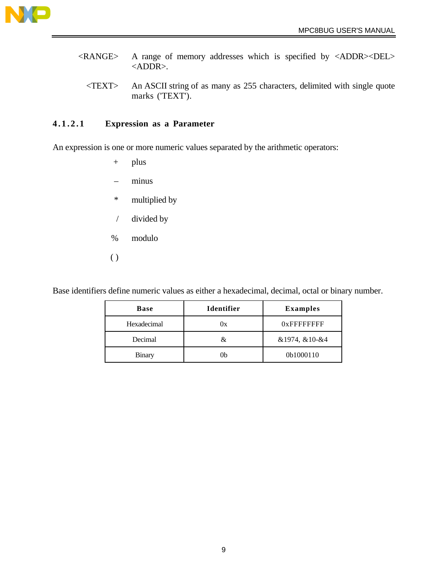

- <RANGE> A range of memory addresses which is specified by <ADDR><DEL> <ADDR>.
	- <TEXT> An ASCII string of as many as 255 characters, delimited with single quote marks ('TEXT').

### **4.1.2.1 Expression as a Parameter**

An expression is one or more numeric values separated by the arithmetic operators:

- + plus
- minus
- \* multiplied by
- / divided by
- % modulo
- $\overline{()}$

Base identifiers define numeric values as either a hexadecimal, decimal, octal or binary number.

| <b>Base</b>   | <b>Identifier</b> | <b>Examples</b> |
|---------------|-------------------|-----------------|
| Hexadecimal   | 0x                | $0x$ FFFFFFFFF  |
| Decimal       | &.                | &1974, &10-&4   |
| <b>Binary</b> | ()b               | 0b1000110       |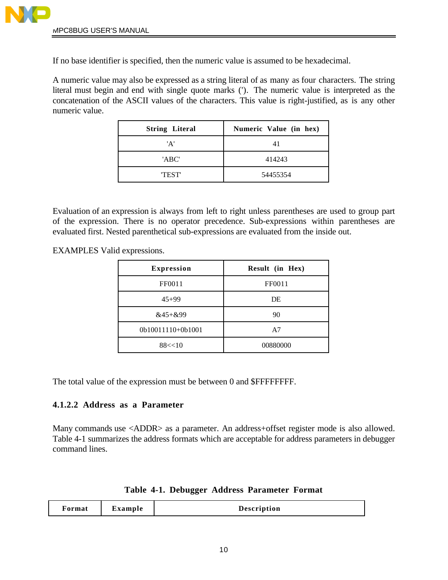If no base identifier is specified, then the numeric value is assumed to be hexadecimal.

A numeric value may also be expressed as a string literal of as many as four characters. The string literal must begin and end with single quote marks ('). The numeric value is interpreted as the concatenation of the ASCII values of the characters. This value is right-justified, as is any other numeric value.

| <b>String Literal</b> | Numeric Value (in hex) |  |
|-----------------------|------------------------|--|
| 'A'                   | 41                     |  |
| 'ABC'                 | 414243                 |  |
| <b>TEST</b>           | 54455354               |  |

Evaluation of an expression is always from left to right unless parentheses are used to group part of the expression. There is no operator precedence. Sub-expressions within parentheses are evaluated first. Nested parenthetical sub-expressions are evaluated from the inside out.

EXAMPLES Valid expressions.

| <b>Expression</b> | Result (in Hex) |
|-------------------|-----------------|
| FF0011            | FF0011          |
| $45+99$           | DE              |
| $&45 +&99$        | 90              |
| 0b10011110+0b1001 | A7              |
| 88 < 10           | 00880000        |

The total value of the expression must be between 0 and \$FFFFFFFF.

### **4.1.2.2 Address as a Parameter**

Many commands use <ADDR> as a parameter. An address+offset register mode is also allowed. Table 4-1 summarizes the address formats which are acceptable for address parameters in debugger command lines.

|  |  |  |  | Table 4-1. Debugger Address Parameter Format |  |
|--|--|--|--|----------------------------------------------|--|
|--|--|--|--|----------------------------------------------|--|

| Format | Example | <b>Description</b> |
|--------|---------|--------------------|
|--------|---------|--------------------|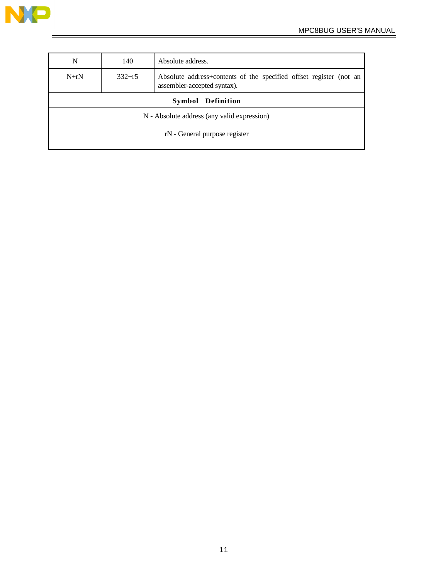

| N                                                                                                                         | 140 | Absolute address. |  |
|---------------------------------------------------------------------------------------------------------------------------|-----|-------------------|--|
| $N+rN$<br>$332 + r5$<br>Absolute address+contents of the specified offset register (not an<br>assembler-accepted syntax). |     |                   |  |
| Symbol Definition                                                                                                         |     |                   |  |
| N - Absolute address (any valid expression)                                                                               |     |                   |  |
| rN - General purpose register                                                                                             |     |                   |  |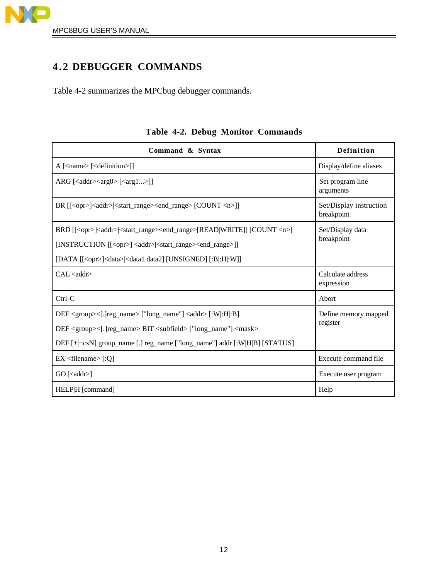

## **4.2 DEBUGGER COMMANDS**

Table 4-2 summarizes the MPCbug debugger commands.

| Command & Syntax                                                                                                 | Definition                            |
|------------------------------------------------------------------------------------------------------------------|---------------------------------------|
| $A$ [ <name> [<definition>]]</definition></name>                                                                 | Display/define aliases                |
| ARG [ <addr><arg0> [<arg1>]]</arg1></arg0></addr>                                                                | Set program line<br>arguments         |
| BR [[ <opr>]<addr> <start_range><end_range> [COUNT <n>]]</n></end_range></start_range></addr></opr>              | Set/Display instruction<br>breakpoint |
| BRD [[ <opr>]<addr> <start_range><end_range>[READ WRITE]] [COUNT <n>]</n></end_range></start_range></addr></opr> | Set/Display data                      |
| [INSTRUCTION [[ <opr>] <addr> <start_range><end_range>]]</end_range></start_range></addr></opr>                  | breakpoint                            |
| [DATA [[ <opr>]<data> <data1 [:b :h :w]]<="" [unsigned]="" data2]="" td=""><td></td></data1></data></opr>        |                                       |
| CAL <sub>addr&gt;</sub>                                                                                          | Calculate address<br>expression       |
| $Ctrl-C$                                                                                                         | Abort                                 |
| DEF <group>&lt;[.]reg_name&gt; ["long_name"] <addr> [:W :H :B]</addr></group>                                    | Define memory mapped                  |
| DEF <group>&lt;[.]reg_name&gt; BIT <subfield> ["long_name"] <mask></mask></subfield></group>                     | register                              |
| DEF [+ +csN] group_name [.] reg_name ["long_name"] addr [:W H B] [STATUS]                                        |                                       |
| $EX <$ filename $>[:Q]$                                                                                          | Execute command file                  |
| $GO$ [ <addr>]</addr>                                                                                            | Execute user program                  |
| HELP H [command]                                                                                                 | Help                                  |

## **Table 4-2. Debug Monitor Commands**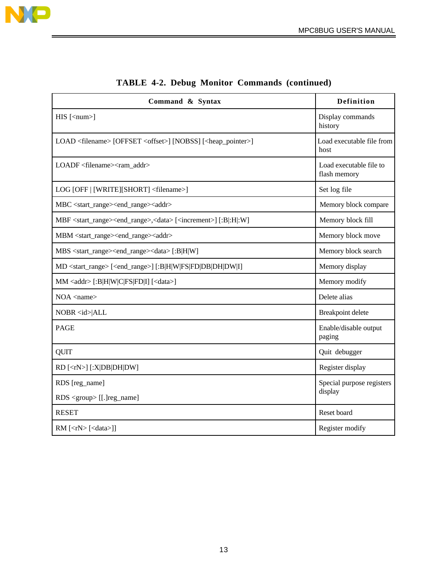

| Command & Syntax                                                                                          | Definition                              |
|-----------------------------------------------------------------------------------------------------------|-----------------------------------------|
| $HIS$ [ <num>]</num>                                                                                      | Display commands<br>history             |
| LOAD <filename> [OFFSET <offset>] [NOBSS] [<heap_pointer>]</heap_pointer></offset></filename>             | Load executable file from<br>host       |
| LOADF <filename><ram addr=""></ram></filename>                                                            | Load executable file to<br>flash memory |
| LOG [OFF   [WRITE][SHORT] <filename>]</filename>                                                          | Set log file                            |
| MBC <start_range><end_range><addr></addr></end_range></start_range>                                       | Memory block compare                    |
| MBF <start_range><end_range>,<data> [<increment>] [:B :H :W]</increment></data></end_range></start_range> | Memory block fill                       |
| MBM <start_range><end_range><addr></addr></end_range></start_range>                                       | Memory block move                       |
| MBS <start_range><end_range><data>[:B H W]</data></end_range></start_range>                               | Memory block search                     |
| MD <start_range> [<end_range>] [:B H W FS FD DB DH DW I]</end_range></start_range>                        | Memory display                          |
| MM <addr> [:B H W C FS FD I] [<data>]</data></addr>                                                       | Memory modify                           |
| $NOA$ <name></name>                                                                                       | Delete alias                            |
| NOBR <id> ALL</id>                                                                                        | Breakpoint delete                       |
| <b>PAGE</b>                                                                                               | Enable/disable output<br>paging         |
| <b>QUIT</b>                                                                                               | Quit debugger                           |
| RD [ <rn>] [:X DB DH DW]</rn>                                                                             | Register display                        |
| RDS [reg_name]<br>RDS <group> [[.] reg_name]</group>                                                      | Special purpose registers<br>display    |
| <b>RESET</b>                                                                                              | Reset board                             |
| RM [ <rn> [<data>]]</data></rn>                                                                           | Register modify                         |

| <b>TABLE 4-2. Debug Monitor Commands (continued)</b> |  |  |  |
|------------------------------------------------------|--|--|--|
|------------------------------------------------------|--|--|--|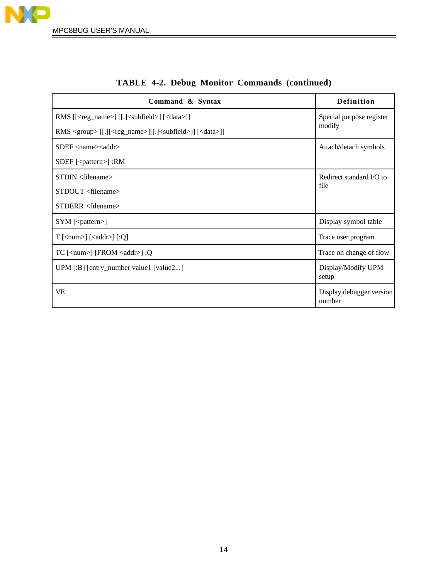

| Command & Syntax                                                                            | Definition                         |
|---------------------------------------------------------------------------------------------|------------------------------------|
| RMS [[ <reg_name>] [[.]<subfield>] [<data>]]</data></subfield></reg_name>                   | Special purpose register           |
| RMS <group> [[.][<reg_name>][[.]<subfield>]] [<data>]]</data></subfield></reg_name></group> | modify                             |
| $SDEF \langle name \rangle \langle add \rangle$                                             | Attach/detach symbols              |
| $SDEF$ [ <pattern>] :RM</pattern>                                                           |                                    |
| $STDIN <$ filename $>$                                                                      | Redirect standard I/O to           |
| STDOUT <filename></filename>                                                                | file                               |
| $STDERR <$ filename>                                                                        |                                    |
| SYM [ <pattern>]</pattern>                                                                  | Display symbol table               |
| $T$ [ <num>] [<addr>] [:Q]</addr></num>                                                     | Trace user program                 |
| $TC$ [ <num>] [FROM <addr>] :Q</addr></num>                                                 | Trace on change of flow            |
| UPM [:B] [entry_number value1 [value2]                                                      | Display/Modify UPM<br>setup        |
| VE                                                                                          | Display debugger version<br>number |

## **TABLE 4-2. Debug Monitor Commands (continued)**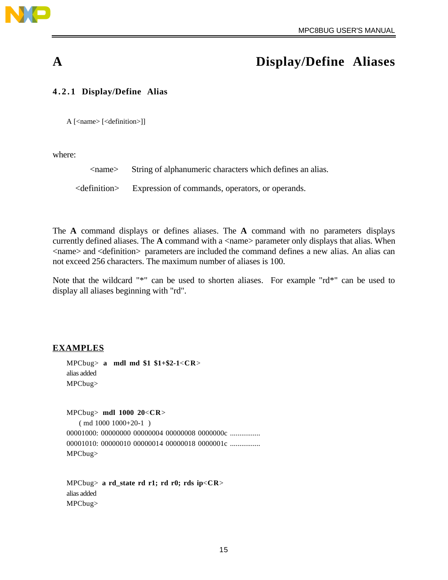

## **A Display/Define Aliases**

#### **4.2.1 Display/Define Alias**

A [<name> [<definition>]]

where:

| $\langle$ name $\rangle$ | String of alphanumeric characters which defines an alias. |
|--------------------------|-----------------------------------------------------------|
|                          |                                                           |

<definition> Expression of commands, operators, or operands.

The **A** command displays or defines aliases. The **A** command with no parameters displays currently defined aliases. The A command with a <name> parameter only displays that alias. When <name> and <definition> parameters are included the command defines a new alias. An alias can not exceed 256 characters. The maximum number of aliases is 100.

Note that the wildcard "\*" can be used to shorten aliases. For example "rd\*" can be used to display all aliases beginning with "rd".

#### **EXAMPLES**

MPCbug> **a mdl md \$1 \$1+\$2-1**<**CR**> alias added MPCbug>

MPCbug> **mdl 1000 20**<**CR**> ( md 1000 1000+20-1 ) 00001000: 00000000 00000004 00000008 0000000c ................ 00001010: 00000010 00000014 00000018 0000001c ................ MPCbug>

MPCbug> **a rd\_state rd r1; rd r0; rds ip**<**CR**> alias added MPCbug>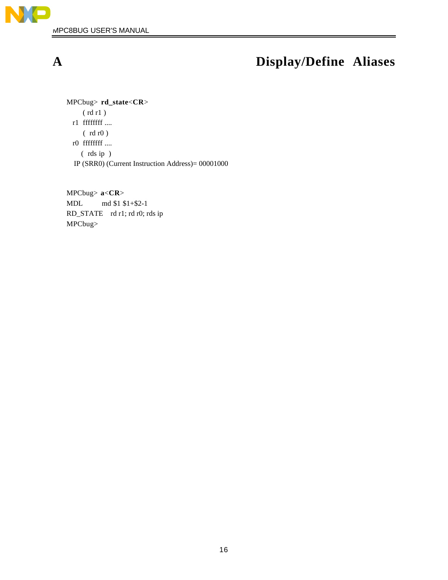

# **A Display/Define Aliases**

MPCbug> **rd\_state**<**CR**> ( rd r1 ) r1 ffffffff .... ( rd r0 ) r0 ffffffff .... ( rds ip ) IP (SRR0) (Current Instruction Address)= 00001000

MPCbug> **a**<**CR**> MDL md \$1 \$1+\$2-1 RD\_STATE rd r1; rd r0; rds ip MPCbug>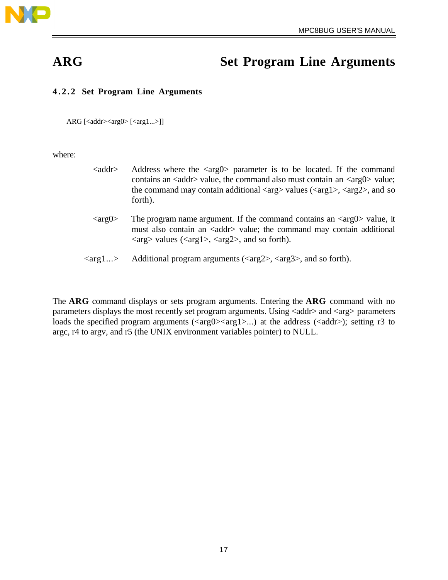

## **ARG Set Program Line Arguments**

### **4.2.2 Set Program Line Arguments**

ARG  $\left[ < \text{addr} > < \text{arg0} > \left[ < \text{arg1} ... > \right] \right]$ 

where:

- $\langle \text{addr}\rangle$  Address where the  $\langle \text{arg} 0 \rangle$  parameter is to be located. If the command contains an  $\langle \text{addr} \rangle$  value, the command also must contain an  $\langle \text{arg} 0 \rangle$  value; the command may contain additional  $\langle \arg \rangle$  values ( $\langle \arg 1 \rangle$ ,  $\langle \arg 2 \rangle$ , and so forth).
- $\langle \text{arg0} \rangle$  The program name argument. If the command contains an  $\langle \text{arg0} \rangle$  value, it must also contain an <addr> value; the command may contain additional  $\langle \text{arg} \rangle$  values ( $\langle \text{arg1} \rangle$ ,  $\langle \text{arg2} \rangle$ , and so forth).
- $\langle \text{arg1} \ldots \rangle$  Additional program arguments ( $\langle \text{arg2} \rangle$ ,  $\langle \text{arg3} \rangle$ , and so forth).

The **ARG** command displays or sets program arguments. Entering the **ARG** command with no parameters displays the most recently set program arguments. Using  $\langle \text{addr} \rangle$  and  $\langle \text{arg} \rangle$  parameters loads the specified program arguments ( $\langle \text{arg0} \rangle \langle \text{arg1} \rangle$ ...) at the address ( $\langle \text{addr} \rangle$ ); setting r3 to argc, r4 to argv, and r5 (the UNIX environment variables pointer) to NULL.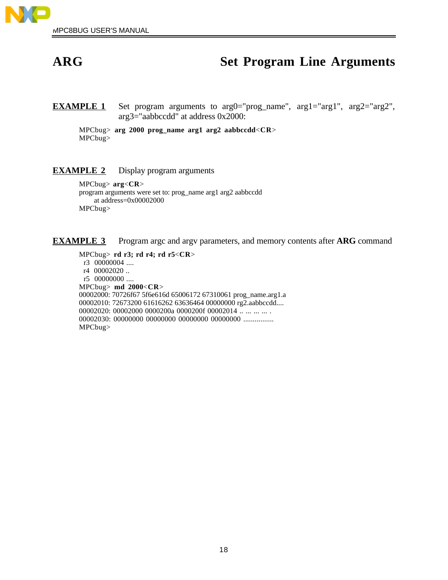

## **ARG Set Program Line Arguments**

**EXAMPLE 1** Set program arguments to arg0="prog\_name", arg1="arg1", arg2="arg2", arg3="aabbccdd" at address 0x2000:

MPCbug> **arg 2000 prog\_name arg1 arg2 aabbccdd**<**CR**> MPCbug>

#### **EXAMPLE 2** Display program arguments

MPCbug> **arg**<**CR**> program arguments were set to: prog\_name arg1 arg2 aabbccdd at address=0x00002000 MPCbug>

**EXAMPLE 3** Program argc and argy parameters, and memory contents after ARG command

MPCbug> **rd r3; rd r4; rd r5**<**CR**>

 r3 00000004 .... r4 00002020 .. r5 00000000 .... MPCbug> **md 2000**<**CR**> 00002000: 70726f67 5f6e616d 65006172 67310061 prog\_name.arg1.a 00002010: 72673200 61616262 63636464 00000000 rg2.aabbccdd.... 00002020: 00002000 0000200a 0000200f 00002014 ... ... ... ... 00002030: 00000000 00000000 00000000 00000000 ................ MPCbug>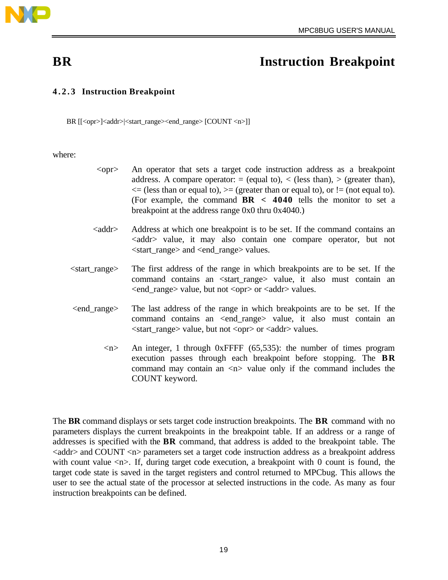

## **BR** Instruction Breakpoint

### **4.2.3 Instruction Breakpoint**

BR [[<opr>]<addr>|<start\_range><end\_range> [COUNT <n>]]

where:

- <opr> An operator that sets a target code instruction address as a breakpoint address. A compare operator:  $=$  (equal to),  $\lt$  (less than),  $\gt$  (greater than),  $\leq$  (less than or equal to),  $\geq$  (greater than or equal to), or != (not equal to). (For example, the command **BR < 4040** tells the monitor to set a breakpoint at the address range 0x0 thru 0x4040.)
- <addr> Address at which one breakpoint is to be set. If the command contains an <addr> value, it may also contain one compare operator, but not <start\_range> and <end\_range> values.
- <start\_range> The first address of the range in which breakpoints are to be set. If the command contains an <start\_range> value, it also must contain an <end\_range> value, but not <opr> or <addr> values.
- <end\_range> The last address of the range in which breakpoints are to be set. If the command contains an <end\_range> value, it also must contain an <start\_range> value, but not <opr> or <addr> values.
	- $\langle n \rangle$  An integer, 1 through 0xFFFF (65,535): the number of times program execution passes through each breakpoint before stopping. The **BR** command may contain an  $\langle n \rangle$  value only if the command includes the COUNT keyword.

The **BR** command displays or sets target code instruction breakpoints. The **BR** command with no parameters displays the current breakpoints in the breakpoint table. If an address or a range of addresses is specified with the **BR** command, that address is added to the breakpoint table. The <addr> and COUNT <n> parameters set a target code instruction address as a breakpoint address with count value  $\langle n \rangle$ . If, during target code execution, a breakpoint with 0 count is found, the target code state is saved in the target registers and control returned to MPCbug. This allows the user to see the actual state of the processor at selected instructions in the code. As many as four instruction breakpoints can be defined.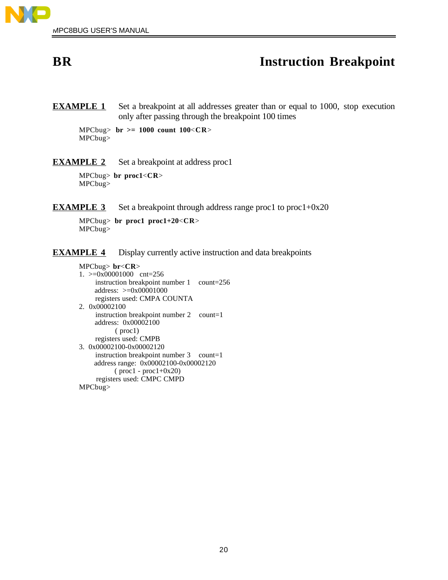

## **BR** Instruction Breakpoint

**EXAMPLE 1** Set a breakpoint at all addresses greater than or equal to 1000, stop execution only after passing through the breakpoint 100 times

MPCbug> **br >= 1000 count 100**<**CR**> MPCbug>

**EXAMPLE 2** Set a breakpoint at address proc1

MPCbug> **br proc1**<**CR**> MPCbug>

**EXAMPLE 3** Set a breakpoint through address range proc1 to proc1+0x20

MPCbug> **br proc1 proc1+20**<**CR**> MPCbug>

**EXAMPLE 4** Display currently active instruction and data breakpoints

```
MPCbug> br<CR>
1. >=0x00001000 cnt=256
     instruction breakpoint number 1 count=256
     address: >=0x00001000
     registers used: CMPA COUNTA
2. 0x00002100
     instruction breakpoint number 2 count=1
     address: 0x00002100
           ( proc1)
     registers used: CMPB
3. 0x00002100-0x00002120
     instruction breakpoint number 3 count=1
     address range: 0x00002100-0x00002120
          (proc1 - proc1+0x20) registers used: CMPC CMPD
MPCbug>
```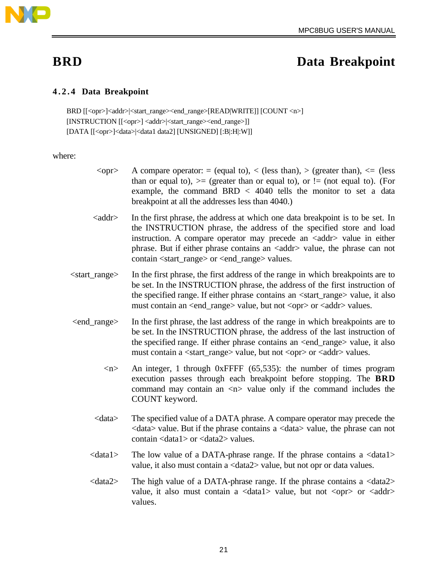

### **4.2.4 Data Breakpoint**

BRD [[<opr>]<addr>|<start\_range><end\_range>[READ|WRITE]] [COUNT <n>] [INSTRUCTION [[<opr>] <addr>|<start\_range><end\_range>]] [DATA [[<opr>]<data>|<data1 data2] [UNSIGNED] [:B|:H|:W]]

#### where:

- $\langle \text{opr}\rangle$  A compare operator: = (equal to),  $\langle$  (less than),  $\rangle$  (greater than),  $\langle$  = (less than or equal to),  $\geq$  (greater than or equal to), or  $!=$  (not equal to). (For example, the command BRD < 4040 tells the monitor to set a data breakpoint at all the addresses less than 4040.)
- <addr> In the first phrase, the address at which one data breakpoint is to be set. In the INSTRUCTION phrase, the address of the specified store and load instruction. A compare operator may precede an  $\langle \text{addr} \rangle$  value in either phrase. But if either phrase contains an <addr> value, the phrase can not contain <start\_range> or <end\_range> values.
- <start\_range> In the first phrase, the first address of the range in which breakpoints are to be set. In the INSTRUCTION phrase, the address of the first instruction of the specified range. If either phrase contains an <start\_range> value, it also must contain an <end\_range> value, but not <opr> or <addr> values.
- <end\_range> In the first phrase, the last address of the range in which breakpoints are to be set. In the INSTRUCTION phrase, the address of the last instruction of the specified range. If either phrase contains an <end\_range> value, it also must contain a <start\_range> value, but not <opr> or <addr> values.
	- $\langle n \rangle$  An integer, 1 through 0xFFFF (65,535): the number of times program execution passes through each breakpoint before stopping. The **BRD** command may contain an  $\langle n \rangle$  value only if the command includes the COUNT keyword.
	- <data> The specified value of a DATA phrase. A compare operator may precede the  $\langle \text{data}\rangle$  value. But if the phrase contains a  $\langle \text{data}\rangle$  value, the phrase can not contain <data1> or <data2> values.
	- <data1> The low value of a DATA-phrase range. If the phrase contains a <data1> value, it also must contain a <data2> value, but not opr or data values.
	- $\langle \text{data2}\rangle$  The high value of a DATA-phrase range. If the phrase contains a  $\langle \text{data2}\rangle$ value, it also must contain a  $\langle data1 \rangle$  value, but not  $\langle opp \rangle$  or  $\langle add7 \rangle$ values.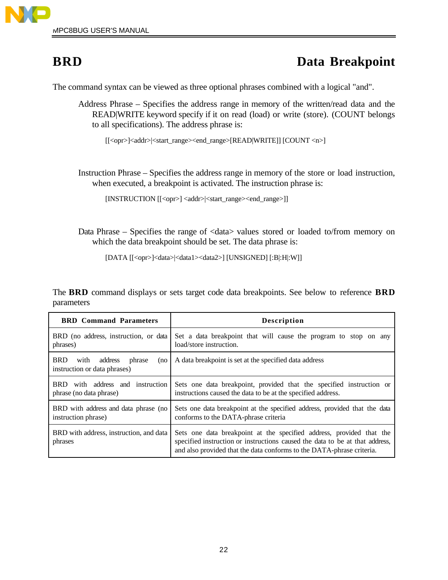

The command syntax can be viewed as three optional phrases combined with a logical "and".

Address Phrase – Specifies the address range in memory of the written/read data and the READ|WRITE keyword specify if it on read (load) or write (store). (COUNT belongs to all specifications). The address phrase is:

[[<opr>]<addr>|<start\_range><end\_range>[READ|WRITE]] [COUNT <n>]

Instruction Phrase – Specifies the address range in memory of the store or load instruction, when executed, a breakpoint is activated. The instruction phrase is:

[INSTRUCTION [[<opr>] <addr> |<start\_range><end\_range>]]

Data Phrase – Specifies the range of  $\langle \text{data} \rangle$  values stored or loaded to/from memory on which the data breakpoint should be set. The data phrase is:

```
[DATA [[<opr>]<data>|<data1><data2>] [UNSIGNED] [:B|:H|:W]]
```
The **BRD** command displays or sets target code data breakpoints. See below to reference **BRD** parameters

| <b>BRD</b> Command Parameters                                                  | <b>Description</b>                                                                                                                                                                                                            |
|--------------------------------------------------------------------------------|-------------------------------------------------------------------------------------------------------------------------------------------------------------------------------------------------------------------------------|
| BRD (no address, instruction, or data<br>phrases)                              | Set a data breakpoint that will cause the program to stop on any<br>load/store instruction.                                                                                                                                   |
| <b>BRD</b><br>address<br>phrase<br>with<br>(no<br>instruction or data phrases) | A data breakpoint is set at the specified data address                                                                                                                                                                        |
| with address and instruction<br>BRD -<br>phrase (no data phrase)               | Sets one data breakpoint, provided that the specified instruction or<br>instructions caused the data to be at the specified address.                                                                                          |
| BRD with address and data phrase (no<br>instruction phrase)                    | Sets one data breakpoint at the specified address, provided that the data<br>conforms to the DATA-phrase criteria                                                                                                             |
| BRD with address, instruction, and data<br>phrases                             | Sets one data breakpoint at the specified address, provided that the<br>specified instruction or instructions caused the data to be at that address,<br>and also provided that the data conforms to the DATA-phrase criteria. |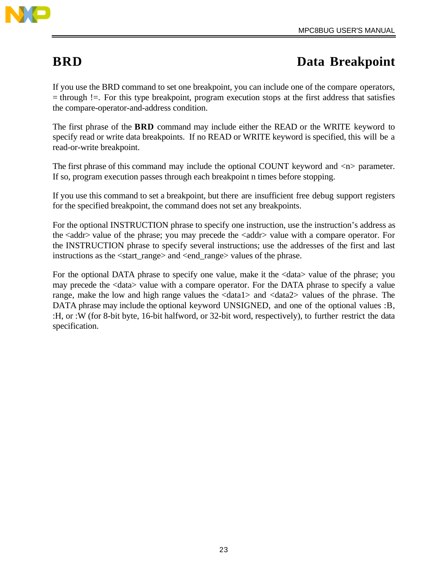

If you use the BRD command to set one breakpoint, you can include one of the compare operators, = through !=. For this type breakpoint, program execution stops at the first address that satisfies the compare-operator-and-address condition.

The first phrase of the **BRD** command may include either the READ or the WRITE keyword to specify read or write data breakpoints. If no READ or WRITE keyword is specified, this will be a read-or-write breakpoint.

The first phrase of this command may include the optional COUNT keyword and  $\langle n \rangle$  parameter. If so, program execution passes through each breakpoint n times before stopping.

If you use this command to set a breakpoint, but there are insufficient free debug support registers for the specified breakpoint, the command does not set any breakpoints.

For the optional INSTRUCTION phrase to specify one instruction, use the instruction's address as the <addr> value of the phrase; you may precede the <addr> value with a compare operator. For the INSTRUCTION phrase to specify several instructions; use the addresses of the first and last instructions as the <start\_range> and <end\_range> values of the phrase.

For the optional DATA phrase to specify one value, make it the <data> value of the phrase; you may precede the <data> value with a compare operator. For the DATA phrase to specify a value range, make the low and high range values the <data1> and <data2> values of the phrase. The DATA phrase may include the optional keyword UNSIGNED, and one of the optional values :B, :H, or :W (for 8-bit byte, 16-bit halfword, or 32-bit word, respectively), to further restrict the data specification.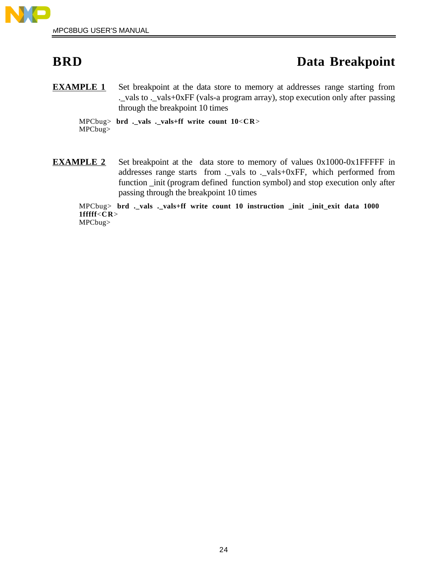

**EXAMPLE 1** Set breakpoint at the data store to memory at addresses range starting from .\_vals to .\_vals+0xFF (vals-a program array), stop execution only after passing through the breakpoint 10 times

MPCbug> **brd .\_vals .\_vals+ff write count 10**<**CR**> MPCbug>

**EXAMPLE 2** Set breakpoint at the data store to memory of values 0x1000-0x1FFFFF in addresses range starts from .\_vals to .\_vals+0xFF, which performed from function \_init (program defined function symbol) and stop execution only after passing through the breakpoint 10 times

MPCbug> **brd .\_vals .\_vals+ff write count 10 instruction \_init \_init\_exit data 1000 1fffff**<**CR**> MPCbug>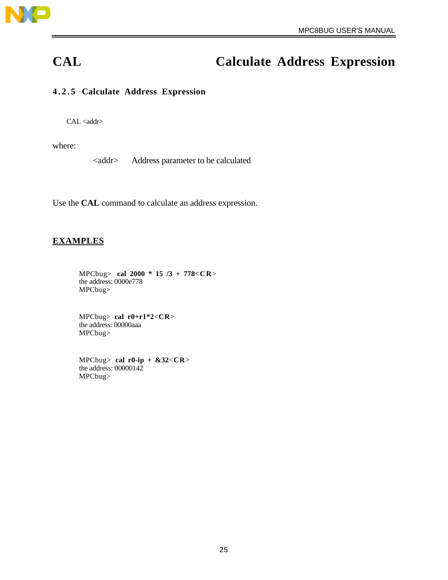

# **CAL Calculate Address Expression**

### **4.2.5 Calculate Address Expression**

CAL <addr>

where:

<addr> Address parameter to be calculated

Use the **CAL** command to calculate an address expression.

#### **EXAMPLES**

MPCbug> **cal 2000 \* 15 /3 + 778**<**C R**> the address: 0000e778 MPCbug>

MPCbug> **cal r0+r1\*2**<**CR**> the address: 00000aaa MPCbug>

MPCbug> **cal r0-ip + &32**<**CR**> the address: 00000142 MPCbug>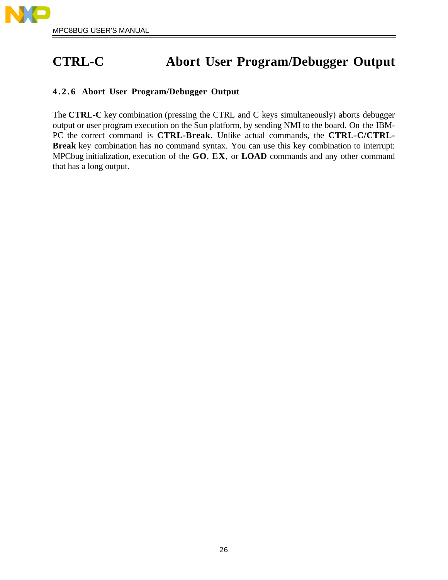# **CTRL-C Abort User Program/Debugger Output**

### **4.2.6 Abort User Program/Debugger Output**

The **CTRL-C** key combination (pressing the CTRL and C keys simultaneously) aborts debugger output or user program execution on the Sun platform, by sending NMI to the board. On the IBM-PC the correct command is **CTRL-Break**. Unlike actual commands, the **CTRL-C/CTRL-Break** key combination has no command syntax. You can use this key combination to interrupt: MPCbug initialization, execution of the **GO**, **EX**, or **LOAD** commands and any other command that has a long output.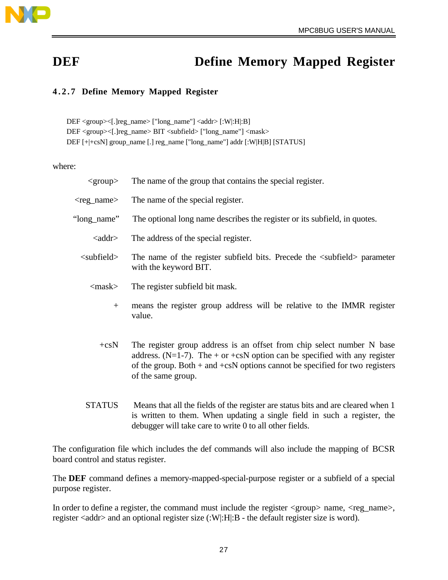

## **DEF Define Memory Mapped Register**

## **4.2.7 Define Memory Mapped Register**

DEF <group><[.]reg\_name> ["long\_name"] <addr> [:W|:H|:B] DEF <group><[.]reg\_name> BIT <subfield> ["long\_name"] <mask> DEF [+|+csN] group\_name [.] reg\_name ["long\_name"] addr [:W|H|B] [STATUS]

#### where:

| $<$ group $>$         | The name of the group that contains the special register.                                                                                                                                                                                                     |
|-----------------------|---------------------------------------------------------------------------------------------------------------------------------------------------------------------------------------------------------------------------------------------------------------|
| <reg_name></reg_name> | The name of the special register.                                                                                                                                                                                                                             |
| "long_name"           | The optional long name describes the register or its subfield, in quotes.                                                                                                                                                                                     |
| <addr></addr>         | The address of the special register.                                                                                                                                                                                                                          |
| $\leq$ subfield $>$   | The name of the register subfield bits. Precede the <subfield> parameter<br/>with the keyword BIT.</subfield>                                                                                                                                                 |
| $<$ mask $>$          | The register subfield bit mask.                                                                                                                                                                                                                               |
| $+$                   | means the register group address will be relative to the IMMR register<br>value.                                                                                                                                                                              |
| $+c s N$              | The register group address is an offset from chip select number N base<br>address. (N=1-7). The + or +csN option can be specified with any register<br>of the group. Both $+$ and $+$ csN options cannot be specified for two registers<br>of the same group. |

STATUS Means that all the fields of the register are status bits and are cleared when 1 is written to them. When updating a single field in such a register, the debugger will take care to write 0 to all other fields.

The configuration file which includes the def commands will also include the mapping of BCSR board control and status register.

The **DEF** command defines a memory-mapped-special-purpose register or a subfield of a special purpose register.

In order to define a register, the command must include the register  $\langle \text{group} \rangle$  name,  $\langle \text{reg\_name} \rangle$ , register <addr> and an optional register size (:W|:H|:B - the default register size is word).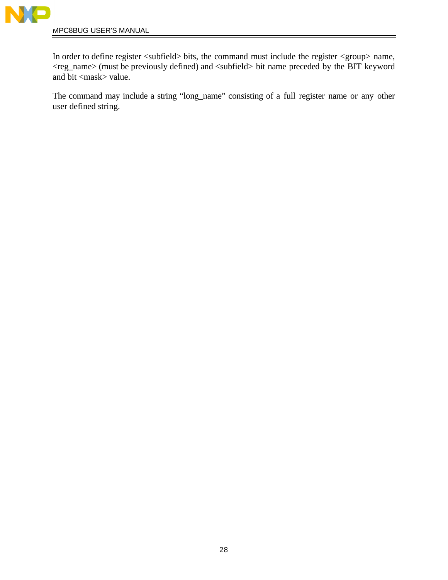

MPC8BUG USER'S MANUAL

In order to define register <subfield> bits, the command must include the register <group> name, <reg\_name> (must be previously defined) and <subfield> bit name preceded by the BIT keyword and bit <mask> value.

The command may include a string "long\_name" consisting of a full register name or any other user defined string.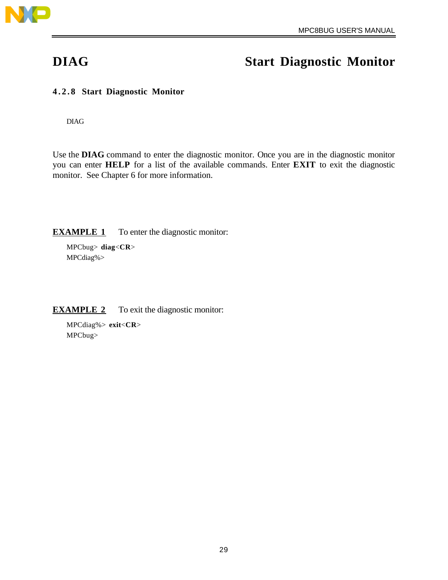

## **DIAG Start Diagnostic Monitor**

### **4.2.8 Start Diagnostic Monitor**

DIAG

Use the **DIAG** command to enter the diagnostic monitor. Once you are in the diagnostic monitor you can enter **HELP** for a list of the available commands. Enter **EXIT** to exit the diagnostic monitor. See Chapter 6 for more information.

**EXAMPLE 1** To enter the diagnostic monitor:

MPCbug> **diag**<**CR**> MPCdiag%>

#### **EXAMPLE 2** To exit the diagnostic monitor:

MPCdiag%> **exit**<**CR**> MPCbug>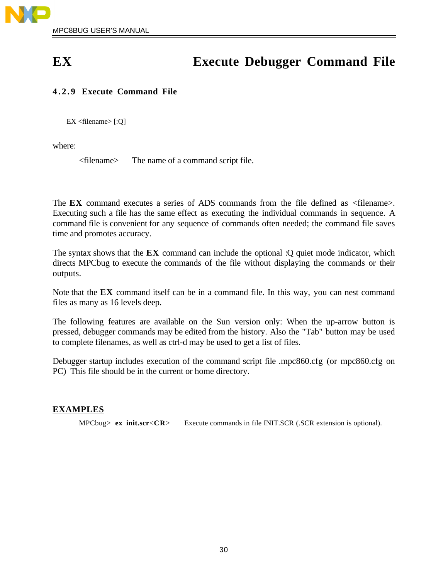## **EX Execute Debugger Command File**

## **4.2.9 Execute Command File**

EX <filename> [:Q]

where:

<filename> The name of a command script file.

The **EX** command executes a series of ADS commands from the file defined as <filename>. Executing such a file has the same effect as executing the individual commands in sequence. A command file is convenient for any sequence of commands often needed; the command file saves time and promotes accuracy.

The syntax shows that the **EX** command can include the optional :Q quiet mode indicator, which directs MPCbug to execute the commands of the file without displaying the commands or their outputs.

Note that the **EX** command itself can be in a command file. In this way, you can nest command files as many as 16 levels deep.

The following features are available on the Sun version only: When the up-arrow button is pressed, debugger commands may be edited from the history. Also the "Tab" button may be used to complete filenames, as well as ctrl-d may be used to get a list of files.

Debugger startup includes execution of the command script file .mpc860.cfg (or mpc860.cfg on PC) This file should be in the current or home directory.

### **EXAMPLES**

MPCbug> **ex init.scr**<**CR**> Execute commands in file INIT.SCR (.SCR extension is optional).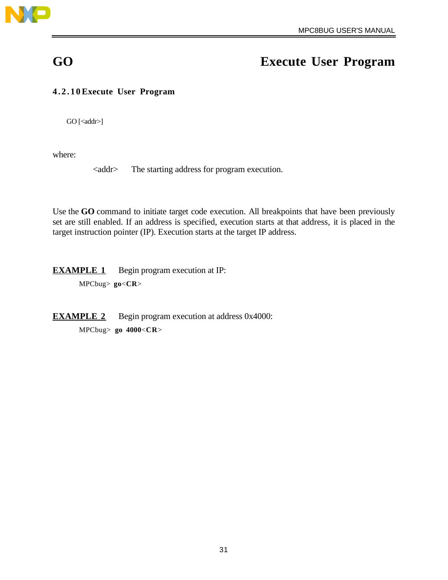

## **GO Execute User Program**

### **4.2.10 Execute User Program**

GO [<addr>]

where:

<addr> The starting address for program execution.

Use the **GO** command to initiate target code execution. All breakpoints that have been previously set are still enabled. If an address is specified, execution starts at that address, it is placed in the target instruction pointer (IP). Execution starts at the target IP address.

**EXAMPLE 1** Begin program execution at IP: MPCbug> **go**<**CR**>

**EXAMPLE 2** Begin program execution at address 0x4000: MPCbug> **go 4000**<**CR**>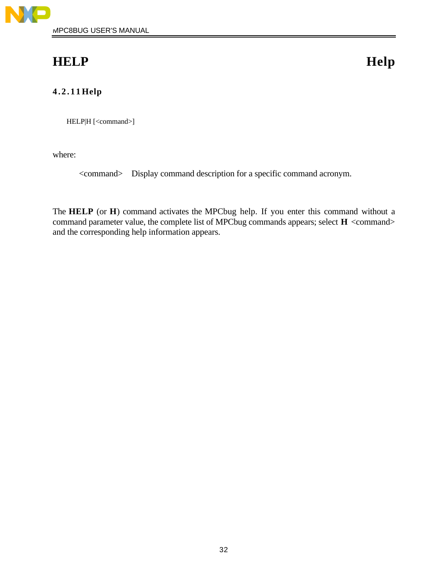## **HELP Help**

## **4.2.11 Help**

HELP|H [<command>]

where:

<command> Display command description for a specific command acronym.

The **HELP** (or **H**) command activates the MPCbug help. If you enter this command without a command parameter value, the complete list of MPCbug commands appears; select **H** <command> and the corresponding help information appears.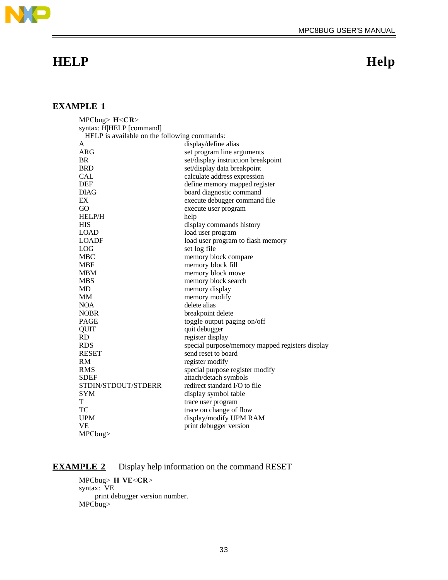

## **EXAMPLE 1**

| MPCbug> $H <$ CR>                            |                                                 |
|----------------------------------------------|-------------------------------------------------|
| syntax: H HELP [command]                     |                                                 |
| HELP is available on the following commands: |                                                 |
| A                                            | display/define alias                            |
| ARG                                          | set program line arguments                      |
| <b>BR</b>                                    | set/display instruction breakpoint              |
| <b>BRD</b>                                   | set/display data breakpoint                     |
| <b>CAL</b>                                   | calculate address expression                    |
| <b>DEF</b>                                   | define memory mapped register                   |
| <b>DIAG</b>                                  | board diagnostic command                        |
| EX                                           | execute debugger command file                   |
| GO                                           | execute user program                            |
| <b>HELP/H</b>                                | help                                            |
| HIS                                          | display commands history                        |
| <b>LOAD</b>                                  | load user program                               |
| LOADF                                        | load user program to flash memory               |
| LOG                                          | set log file                                    |
| <b>MBC</b>                                   | memory block compare                            |
| <b>MBF</b>                                   | memory block fill                               |
| <b>MBM</b>                                   | memory block move                               |
| <b>MBS</b>                                   | memory block search                             |
| MD                                           | memory display                                  |
| MM                                           | memory modify                                   |
| <b>NOA</b>                                   | delete alias                                    |
| <b>NOBR</b>                                  | breakpoint delete                               |
| <b>PAGE</b>                                  | toggle output paging on/off                     |
| QUIT                                         | quit debugger                                   |
| <b>RD</b>                                    | register display                                |
| <b>RDS</b>                                   | special purpose/memory mapped registers display |
| <b>RESET</b>                                 | send reset to board                             |
| RM                                           | register modify                                 |
| <b>RMS</b>                                   | special purpose register modify                 |
| <b>SDEF</b>                                  | attach/detach symbols                           |
| STDIN/STDOUT/STDERR                          | redirect standard I/O to file                   |
| <b>SYM</b>                                   | display symbol table                            |
| T                                            | trace user program                              |
| TC                                           | trace on change of flow                         |
| <b>UPM</b>                                   | display/modify UPM RAM                          |
| <b>VE</b>                                    | print debugger version                          |
| MPCbug                                       |                                                 |

### **EXAMPLE 2** Display help information on the command RESET

MPCbug> **H VE**<**CR**> syntax: VE print debugger version number. MPCbug>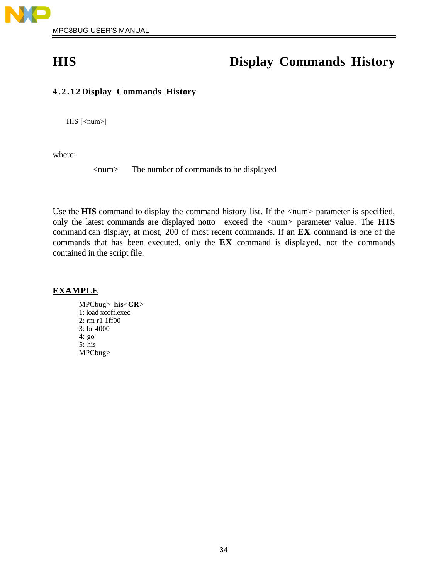

## **HIS Display Commands History**

### **4.2.12 Display Commands History**

 $HIS$  [<num>]

where:

<num> The number of commands to be displayed

Use the **HIS** command to display the command history list. If the  $\langle$ num $\rangle$  parameter is specified, only the latest commands are displayed notto exceed the <num> parameter value. The **HIS** command can display, at most, 200 of most recent commands. If an **EX** command is one of the commands that has been executed, only the **EX** command is displayed, not the commands contained in the script file.

#### **EXAMPLE**

MPCbug> **his**<**CR**> 1: load xcoff.exec 2: rm r1 1ff00 3: br 4000 4: go 5: his MPCbug>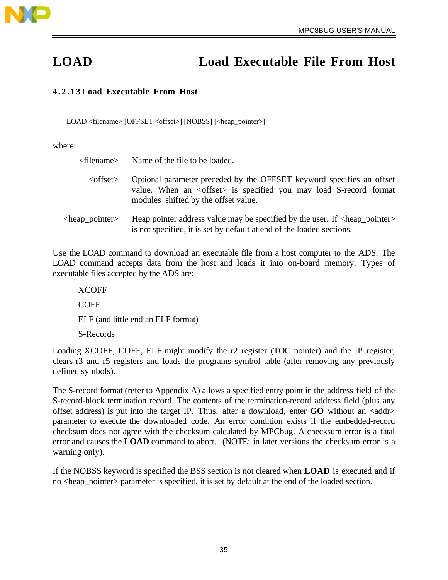

# **LOAD Load Executable File From Host**

### **4.2.13 Load Executable From Host**

LOAD <filename> [OFFSET <offset>] [NOBSS] [<heap\_pointer>]

where:

| <filename></filename>         | Name of the file to be loaded.                                                                                                                                                               |
|-------------------------------|----------------------------------------------------------------------------------------------------------------------------------------------------------------------------------------------|
| $\le$ offset $>$              | Optional parameter preceded by the OFFSET keyword specifies an offset<br>value. When an <offset> is specified you may load S-record format<br/>modules shifted by the offset value.</offset> |
| <heap_pointer></heap_pointer> | Heap pointer address value may be specified by the user. If <heap_pointer><br/>is not specified, it is set by default at end of the loaded sections.</heap_pointer>                          |

Use the LOAD command to download an executable file from a host computer to the ADS. The LOAD command accepts data from the host and loads it into on-board memory. Types of executable files accepted by the ADS are:

XCOFF COFF ELF (and little endian ELF format) S-Records

Loading XCOFF, COFF, ELF might modify the r2 register (TOC pointer) and the IP register, clears r3 and r5 registers and loads the programs symbol table (after removing any previously defined symbols).

The S-record format (refer to Appendix A) allows a specified entry point in the address field of the S-record-block termination record. The contents of the termination-record address field (plus any offset address) is put into the target IP. Thus, after a download, enter **GO** without an <addr> parameter to execute the downloaded code. An error condition exists if the embedded-record checksum does not agree with the checksum calculated by MPCbug. A checksum error is a fatal error and causes the **LOAD** command to abort. (NOTE: in later versions the checksum error is a warning only).

If the NOBSS keyword is specified the BSS section is not cleared when **LOAD** is executed and if no <heap\_pointer> parameter is specified, it is set by default at the end of the loaded section.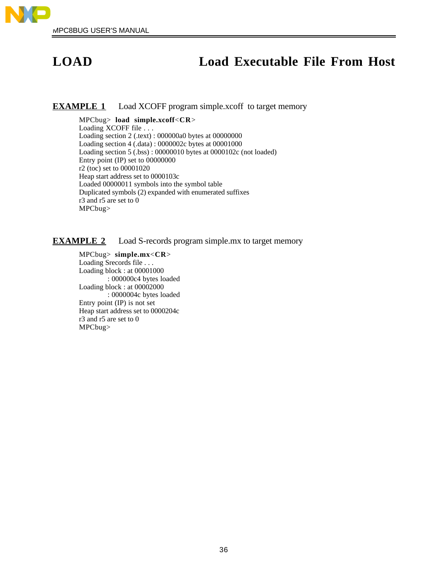

## **LOAD Load Executable File From Host**

#### **EXAMPLE 1** Load XCOFF program simple.xcoff to target memory

MPCbug> **load simple.xcoff**<**CR**> Loading XCOFF file . . . Loading section 2 (.text) : 000000a0 bytes at 00000000 Loading section 4 (.data) : 0000002c bytes at 00001000 Loading section 5 (.bss) : 00000010 bytes at 0000102c (not loaded) Entry point (IP) set to 00000000 r2 (toc) set to 00001020 Heap start address set to 0000103c Loaded 00000011 symbols into the symbol table Duplicated symbols (2) expanded with enumerated suffixes r3 and r5 are set to 0 MPCbug>

#### **EXAMPLE 2** Load S-records program simple.mx to target memory

MPCbug> **simple.mx**<**CR**> Loading Srecords file . . . Loading block : at 00001000 : 000000c4 bytes loaded Loading block : at 00002000 : 0000004c bytes loaded Entry point (IP) is not set Heap start address set to 0000204c r3 and r5 are set to 0 MPCbug>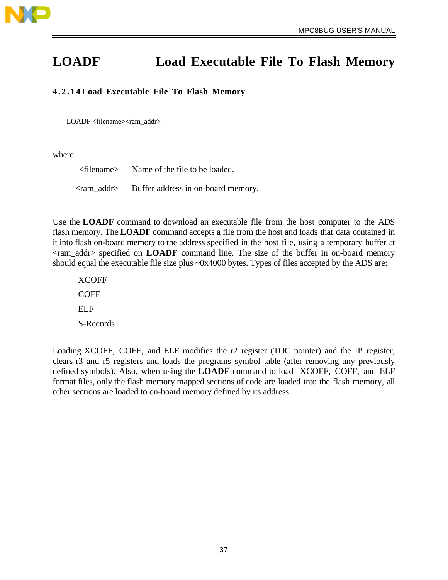

# **LOADF Load Executable File To Flash Memory**

## **4.2.14 Load Executable File To Flash Memory**

LOADF <filename><ram\_addr>

where:

<filename> Name of the file to be loaded. <ram\_addr> Buffer address in on-board memory.

Use the **LOADF** command to download an executable file from the host computer to the ADS flash memory. The **LOADF** command accepts a file from the host and loads that data contained in it into flash on-board memory to the address specified in the host file, using a temporary buffer at <ram\_addr> specified on **LOADF** command line. The size of the buffer in on-board memory should equal the executable file size plus ~0x4000 bytes. Types of files accepted by the ADS are:

XCOFF **COFF** ELF S-Records

Loading XCOFF, COFF, and ELF modifies the r2 register (TOC pointer) and the IP register, clears r3 and r5 registers and loads the programs symbol table (after removing any previously defined symbols). Also, when using the **LOADF** command to load XCOFF, COFF, and ELF format files, only the flash memory mapped sections of code are loaded into the flash memory, all other sections are loaded to on-board memory defined by its address.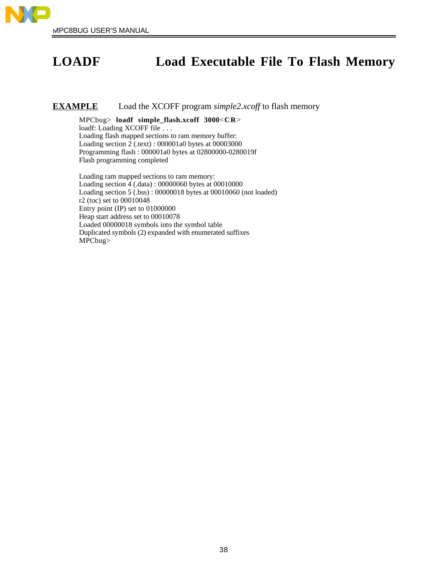

# **LOADF Load Executable File To Flash Memory**

### **EXAMPLE** Load the XCOFF program *simple2.xcoff* to flash memory

MPCbug> **loadf simple\_flash.xcoff 3000**<**CR**> loadf: Loading XCOFF file . . . Loading flash mapped sections to ram memory buffer: Loading section 2 (.text) : 000001a0 bytes at 00003000 Programming flash : 000001a0 bytes at 02800000-0280019f Flash programming completed

Loading ram mapped sections to ram memory: Loading section 4 (.data) : 00000060 bytes at 00010000 Loading section 5 (.bss) : 00000018 bytes at 00010060 (not loaded) r2 (toc) set to 00010048 Entry point (IP) set to 01000000 Heap start address set to 00010078 Loaded 00000018 symbols into the symbol table Duplicated symbols (2) expanded with enumerated suffixes MPCbug>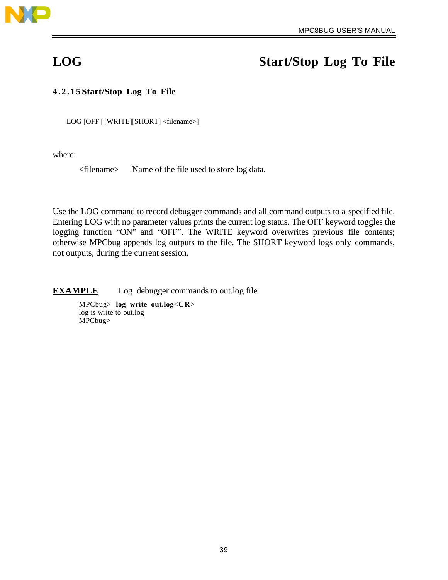

# **LOG Start/Stop Log To File**

## **4.2.15 Start/Stop Log To File**

LOG [OFF | [WRITE][SHORT] <filename>]

where:

<filename> Name of the file used to store log data.

Use the LOG command to record debugger commands and all command outputs to a specified file. Entering LOG with no parameter values prints the current log status. The OFF keyword toggles the logging function "ON" and "OFF". The WRITE keyword overwrites previous file contents; otherwise MPCbug appends log outputs to the file. The SHORT keyword logs only commands, not outputs, during the current session.

**EXAMPLE** Log debugger commands to out.log file

MPCbug> **log write out.log**<**CR**> log is write to out.log MPCbug>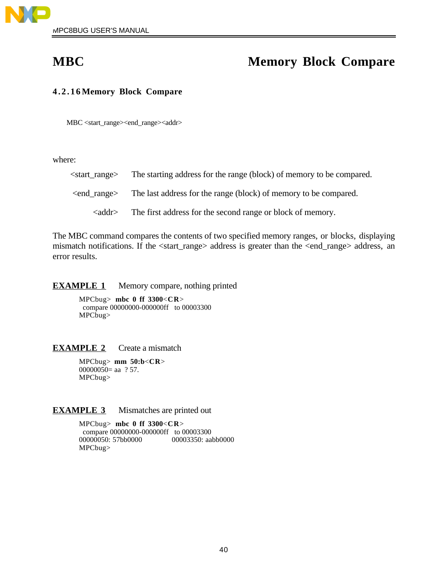

# **MBC** Memory Block Compare

### **4.2.16 Memory Block Compare**

MBC <start\_range><end\_range><addr>

where:

| <start range=""></start>      | The starting address for the range (block) of memory to be compared. |
|-------------------------------|----------------------------------------------------------------------|
| $\epsilon$ ange $\epsilon$    | The last address for the range (block) of memory to be compared.     |
| $\langle \text{addr} \rangle$ | The first address for the second range or block of memory.           |

The MBC command compares the contents of two specified memory ranges, or blocks, displaying mismatch notifications. If the <start\_range> address is greater than the <end\_range> address, an error results.

**EXAMPLE 1** Memory compare, nothing printed

MPCbug> **mbc 0 ff 3300**<**CR**> compare 00000000-000000ff to 00003300 MPCbug>

## **EXAMPLE 2** Create a mismatch

MPCbug> **mm 50:b**<**CR**> 00000050= aa  $?57$ . MPCbug>

### **EXAMPLE 3** Mismatches are printed out

MPCbug> **mbc 0 ff 3300**<**CR**> compare 00000000-000000ff to 00003300<br>00000050: 57bb0000 00003350: aa 00003350: aabb0000 MPCbug>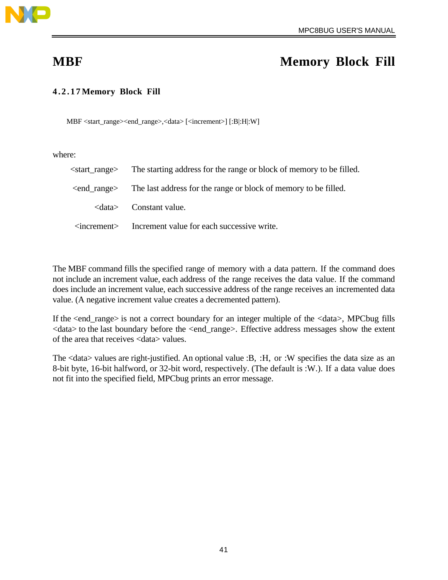

# **MBF Memory Block Fill**

## **4.2.17 Memory Block Fill**

MBF <start\_range><end\_range>,<data> [<increment>] [:B|:H|:W]

where:

|                      | <start_range> The starting address for the range or block of memory to be filled.</start_range> |
|----------------------|-------------------------------------------------------------------------------------------------|
|                      | <end_range> The last address for the range or block of memory to be filled.</end_range>         |
|                      | $\langle data \rangle$ Constant value.                                                          |
| $\leq$ increment $>$ | Increment value for each successive write.                                                      |

The MBF command fills the specified range of memory with a data pattern. If the command does not include an increment value, each address of the range receives the data value. If the command does include an increment value, each successive address of the range receives an incremented data value. (A negative increment value creates a decremented pattern).

If the <end\_range> is not a correct boundary for an integer multiple of the <data>, MPCbug fills <data> to the last boundary before the <end\_range>. Effective address messages show the extent of the area that receives <data> values.

The <data> values are right-justified. An optional value :B, :H, or :W specifies the data size as an 8-bit byte, 16-bit halfword, or 32-bit word, respectively. (The default is :W.). If a data value does not fit into the specified field, MPCbug prints an error message.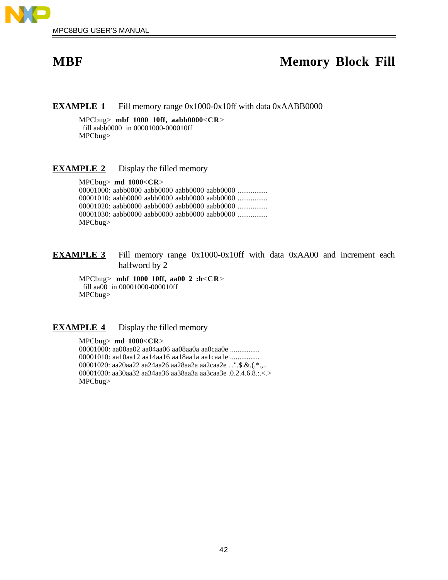

# **MBF Memory Block Fill**

**EXAMPLE 1** Fill memory range 0x1000-0x10ff with data 0xAABB0000

MPCbug> **mbf 1000 10ff, aabb0000**<**CR**> fill aabb0000 in 00001000-000010ff MPCbug>

**EXAMPLE 2** Display the filled memory

MPCbug> **md 1000**<**CR**> 00001000: aabb0000 aabb0000 aabb0000 aabb0000 ................ 00001010: aabb0000 aabb0000 aabb0000 aabb0000 ................ 00001020: aabb0000 aabb0000 aabb0000 aabb0000 ................ 00001030: aabb0000 aabb0000 aabb0000 aabb0000 ................ MPCbug>

**EXAMPLE 3** Fill memory range 0x1000-0x10ff with data 0xAA00 and increment each halfword by 2

MPCbug> **mbf 1000 10ff, aa00 2 :h**<**CR**> fill aa00 in 00001000-000010ff MPCbug>

**EXAMPLE 4** Display the filled memory

MPCbug> **md 1000**<**CR**> 00001000: aa00aa02 aa04aa06 aa08aa0a aa0caa0e ................ 00001010: aa10aa12 aa14aa16 aa18aa1a aa1caa1e ................ 00001020: aa20aa22 aa24aa26 aa28aa2a aa2caa2e . .".\$.&.(.\*.,.. 00001030: aa30aa32 aa34aa36 aa38aa3a aa3caa3e .0.2.4.6.8.:.<.> MPCbug>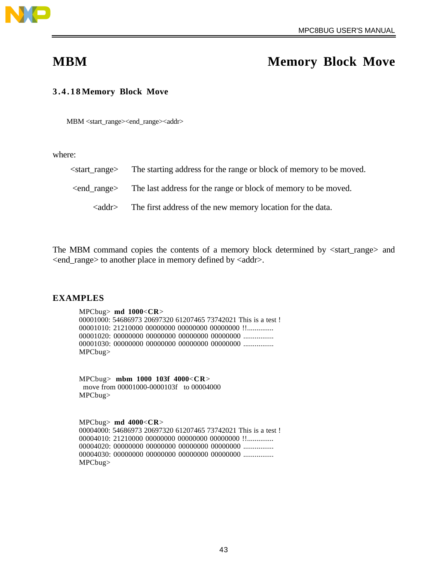

# **MBM Memory Block Move**

### **3.4.18 Memory Block Move**

MBM <start\_range><end\_range><addr>

where:

| <start range=""></start>      | The starting address for the range or block of memory to be moved. |
|-------------------------------|--------------------------------------------------------------------|
| $\epsilon$ ange $\epsilon$    | The last address for the range or block of memory to be moved.     |
| $\langle \text{addr} \rangle$ | The first address of the new memory location for the data.         |

The MBM command copies the contents of a memory block determined by <start\_range> and <end\_range> to another place in memory defined by <addr>.

### **EXAMPLES**

MPCbug> **md 1000**<**CR**> 00001000: 54686973 20697320 61207465 73742021 This is a test ! 00001010: 21210000 00000000 00000000 00000000 !!.............. 00001020: 00000000 00000000 00000000 00000000 ................ 00001030: 00000000 00000000 00000000 00000000 ................ MPCbug>

MPCbug> **mbm 1000 103f 4000**<**CR**> move from 00001000-0000103f to 00004000 MPCbug>

MPCbug> **md 4000**<**CR**> 00004000: 54686973 20697320 61207465 73742021 This is a test ! 00004010: 21210000 00000000 00000000 00000000 !!.............. 00004020: 00000000 00000000 00000000 00000000 ................ 00004030: 00000000 00000000 00000000 00000000 ................ MPCbug>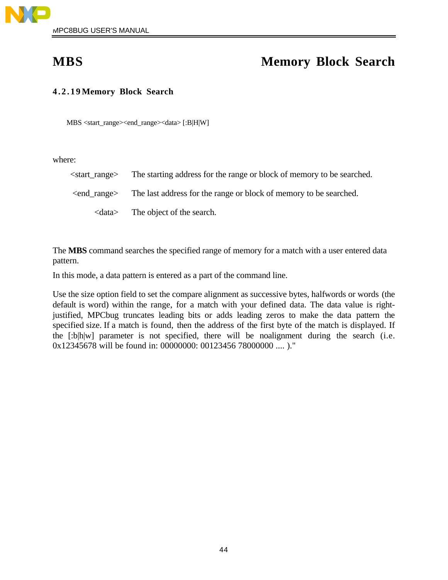

# **MBS Memory Block Search**

## **4.2.19 Memory Block Search**

MBS <start\_range><end\_range><data> [:B|H|W]

where:

| <start_range></start_range> | The starting address for the range or block of memory to be searched.                     |
|-----------------------------|-------------------------------------------------------------------------------------------|
|                             | <end_range> The last address for the range or block of memory to be searched.</end_range> |
| <data></data>               | The object of the search.                                                                 |

The **MBS** command searches the specified range of memory for a match with a user entered data pattern.

In this mode, a data pattern is entered as a part of the command line.

Use the size option field to set the compare alignment as successive bytes, halfwords or words (the default is word) within the range, for a match with your defined data. The data value is rightjustified, MPCbug truncates leading bits or adds leading zeros to make the data pattern the specified size. If a match is found, then the address of the first byte of the match is displayed. If the [:b|h|w] parameter is not specified, there will be noalignment during the search (i.e. 0x12345678 will be found in: 00000000: 00123456 78000000 .... )."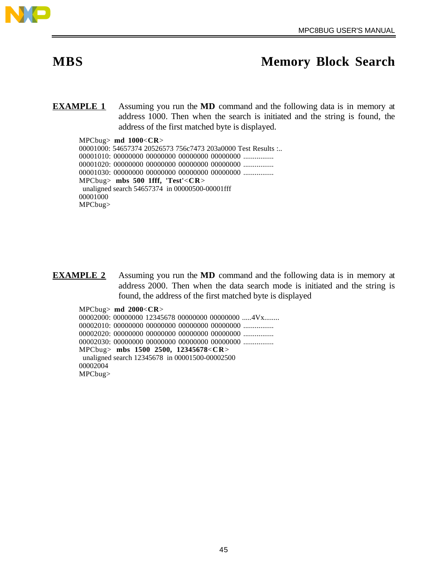

# **MBS Memory Block Search**

**EXAMPLE 1** Assuming you run the **MD** command and the following data is in memory at address 1000. Then when the search is initiated and the string is found, the address of the first matched byte is displayed.

MPCbug> **md 1000**<**CR**> 00001000: 54657374 20526573 756c7473 203a0000 Test Results :.. 00001010: 00000000 00000000 00000000 00000000 ................ 00001020: 00000000 00000000 00000000 00000000 ................ 00001030: 00000000 00000000 00000000 00000000 ................ MPCbug> **mbs 500 1fff, 'Test'**<**CR**> unaligned search 54657374 in 00000500-00001fff 00001000 MPCbug>

**EXAMPLE 2** Assuming you run the **MD** command and the following data is in memory at address 2000. Then when the data search mode is initiated and the string is found, the address of the first matched byte is displayed

MPCbug> **md 2000**<**CR**> 00002000: 00000000 12345678 00000000 00000000 .....4Vx........ 00002010: 00000000 00000000 00000000 00000000 ................ 00002020: 00000000 00000000 00000000 00000000 ................ 00002030: 00000000 00000000 00000000 00000000 ................ MPCbug> **mbs 1500 2500, 12345678**<**CR**> unaligned search 12345678 in 00001500-00002500 00002004 MPCbug>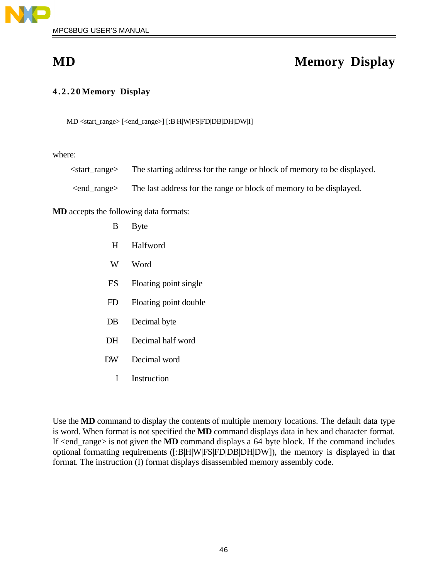

# **MD Memory Display**

## **4.2.20 Memory Display**

MD <start\_range> [<end\_range>] [:B|H|W|FS|FD|DB|DH|DW|I]

where:

| <start_range></start_range> | The starting address for the range or block of memory to be displayed. |  |
|-----------------------------|------------------------------------------------------------------------|--|

<end\_range> The last address for the range or block of memory to be displayed.

**MD** accepts the following data formats:

| B   | <b>Byte</b>           |
|-----|-----------------------|
| H   | Halfword              |
| W   | Word                  |
| FS. | Floating point single |
| FD  | Floating point double |
| DB  | Decimal byte          |
| DН  | Decimal half word     |
|     |                       |

- DW Decimal word
	- I Instruction

Use the **MD** command to display the contents of multiple memory locations. The default data type is word. When format is not specified the **MD** command displays data in hex and character format. If <end\_range> is not given the **MD** command displays a 64 byte block. If the command includes optional formatting requirements ([:B|H|W|FS|FD|DB|DH|DW]), the memory is displayed in that format. The instruction (I) format displays disassembled memory assembly code.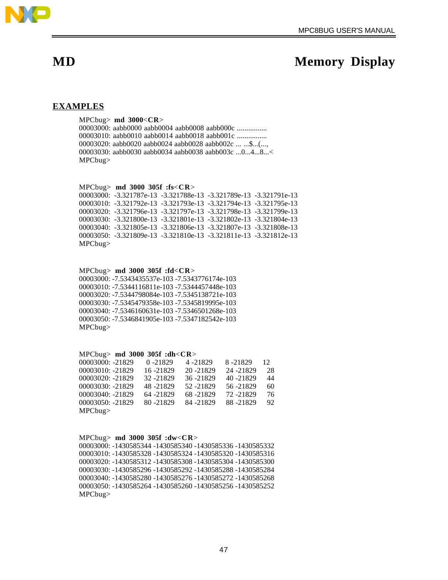

# **MD** Memory Display

### **EXAMPLES**

MPCbug> **md 3000**<**CR**> 00003000: aabb0000 aabb0004 aabb0008 aabb000c ................ 00003010: aabb0010 aabb0014 aabb0018 aabb001c ................ 00003020: aabb0020 aabb0024 aabb0028 aabb002c ... ...\$...(..., 00003030: aabb0030 aabb0034 aabb0038 aabb003c ...0...4...8...< MPCbug>

MPCbug> **md 3000 305f :fs**<**CR**>

00003000: -3.321787e-13 -3.321788e-13 -3.321789e-13 -3.321791e-13 00003010: -3.321792e-13 -3.321793e-13 -3.321794e-13 -3.321795e-13 00003020: -3.321796e-13 -3.321797e-13 -3.321798e-13 -3.321799e-13 00003030: -3.321800e-13 -3.321801e-13 -3.321802e-13 -3.321804e-13 00003040: -3.321805e-13 -3.321806e-13 -3.321807e-13 -3.321808e-13 00003050: -3.321809e-13 -3.321810e-13 -3.321811e-13 -3.321812e-13 MPCbug>

MPCbug> **md 3000 305f :fd**<**CR**> 00003000: -7.5343435537e-103 -7.5343776174e-103 00003010: -7.5344116811e-103 -7.5344457448e-103 00003020: -7.5344798084e-103 -7.5345138721e-103 00003030: -7.5345479358e-103 -7.5345819995e-103 00003040: -7.5346160631e-103 -7.5346501268e-103 00003050: -7.5346841905e-103 -7.5347182542e-103

MPCbug>

### MPCbug> **md 3000 305f :dh**<**CR**>

| 00003000: -21829   | $0 - 21829$ | 4 -21829   | 8-21829    | 12 |
|--------------------|-------------|------------|------------|----|
| $00003010: -21829$ | 16 - 21829  | 20 - 21829 | 24 - 21829 | 28 |
| $00003020: -21829$ | 32 - 21829  | 36 - 21829 | 40 - 21829 | 44 |
| 00003030: -21829   | 48 - 21829  | 52 - 21829 | 56 - 21829 | 60 |
| $00003040: -21829$ | 64 - 21829  | 68-21829   | 72 - 21829 | 76 |
| $00003050: -21829$ | 80 - 21829  | 84 - 21829 | 88 - 21829 | 92 |
| MPCbug             |             |            |            |    |

### MPCbug> **md 3000 305f :dw**<**CR**>

00003000: -1430585344 -1430585340 -1430585336 -1430585332 00003010: -1430585328 -1430585324 -1430585320 -1430585316 00003020: -1430585312 -1430585308 -1430585304 -1430585300 00003030: -1430585296 -1430585292 -1430585288 -1430585284 00003040: -1430585280 -1430585276 -1430585272 -1430585268 00003050: -1430585264 -1430585260 -1430585256 -1430585252 MPCbug>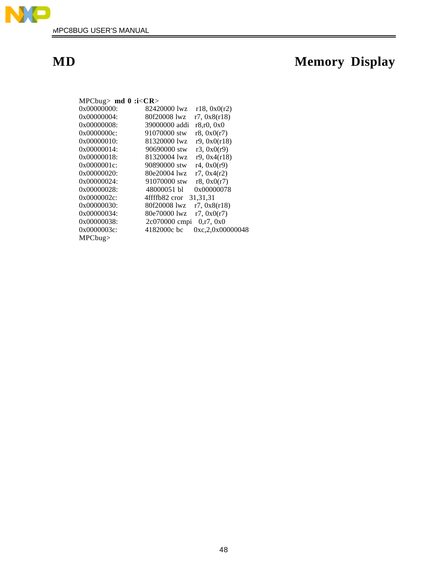

# **MD Memory Display**

| MPCbug> $\text{md } 0$ :i< $CR$ |                                 |
|---------------------------------|---------------------------------|
| $0x00000000$ :                  | 82420000 lwz<br>r18, 0x0(r2)    |
| 0x00000004:                     | 80f20008 lwz<br>r7, 0x8(r18)    |
| 0x00000008                      | 39000000 addi<br>r8, r0, 0x0    |
| 0x0000000c                      | 91070000 stw<br>r8, 0x0(r7)     |
| $0x00000010$ :                  | r9, 0x0(r18)<br>81320000 lwz    |
| 0x00000014:                     | r3, 0x0(r9)<br>90690000 stw     |
| 0x00000018                      | 81320004 lwz<br>r9.0x4(r18)     |
| 0x0000001c                      | 90890000 stw<br>r4, 0x0(r9)     |
| 0x00000020:                     | 80e20004 lwz<br>r7, 0x4(r2)     |
| 0x00000024:                     | 91070000 stw<br>r8, 0x0(r7)     |
| $0x00000028$ :                  | 48000051 bl<br>0x00000078       |
| 0x0000002c                      | 31, 31, 31<br>4ffffb82 cror     |
| 0x00000030:                     | 80f20008 lwz<br>r7, 0x8(r18)    |
| 0x00000034:                     | 80e70000 lwz<br>r7, 0x0(r7)     |
| 0x00000038:                     | 2c070000 cmpi<br>0,r7,0x0       |
| $0x0000003c$ :                  | 4182000c bc<br>0xc,2,0x00000048 |
| MPCbug                          |                                 |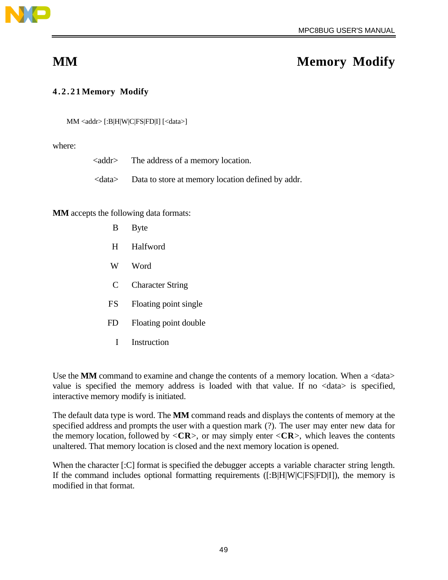

# **MM** Memory Modify

## **4.2.21 Memory Modify**

MM <addr> [:B|H|W|C|FS|FD|I] [<data>]

where:

| <addr></addr> | The address of a memory location. |  |
|---------------|-----------------------------------|--|
|               |                                   |  |

<data> Data to store at memory location defined by addr.

**MM** accepts the following data formats:

- B Byte
- H Halfword
- W Word
- C Character String
- FS Floating point single
- FD Floating point double
	- I Instruction

Use the **MM** command to examine and change the contents of a memory location. When a <data> value is specified the memory address is loaded with that value. If no <data> is specified, interactive memory modify is initiated.

The default data type is word. The **MM** command reads and displays the contents of memory at the specified address and prompts the user with a question mark (?). The user may enter new data for the memory location, followed by  $\langle CR \rangle$ , or may simply enter  $\langle CR \rangle$ , which leaves the contents unaltered. That memory location is closed and the next memory location is opened.

When the character [:C] format is specified the debugger accepts a variable character string length. If the command includes optional formatting requirements ([:B|H|W|C|FS|FD|I]), the memory is modified in that format.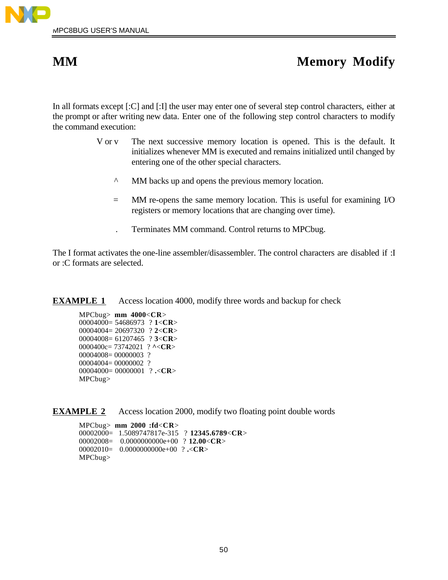# **MM** Memory Modify

In all formats except [:C] and [:I] the user may enter one of several step control characters, either at the prompt or after writing new data. Enter one of the following step control characters to modify the command execution:

- V or v The next successive memory location is opened. This is the default. It initializes whenever MM is executed and remains initialized until changed by entering one of the other special characters.
	- ^ MM backs up and opens the previous memory location.
	- = MM re-opens the same memory location. This is useful for examining I/O registers or memory locations that are changing over time).
	- . Terminates MM command. Control returns to MPCbug.

The I format activates the one-line assembler/disassembler. The control characters are disabled if :I or :C formats are selected.

**EXAMPLE 1** Access location 4000, modify three words and backup for check

MPCbug> **mm 4000**<**CR**> 00004000= 54686973 ? **1**<**CR**> 00004004= 20697320 ? **2**<**CR**> 00004008= 61207465 ? **3**<**CR**> 0000400c= 73742021 ? **^**<**CR**> 00004008= 00000003 ? 00004004= 00000002 ? 00004000= 00000001 ? **.**<**CR**> MPCbug>

**EXAMPLE 2** Access location 2000, modify two floating point double words

MPCbug> **mm 2000 :fd**<**CR**> 00002000= 1.5089747817e-315 ? **12345.6789**<**CR**> 00002008= 0.0000000000e+00 ? **12.00**<**CR**> 00002010= 0.0000000000e+00 ? **.**<**CR**> MPCbug>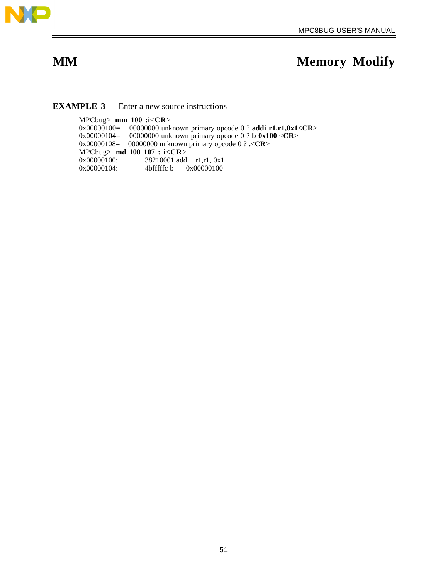

# **MM** Memory Modify

### **EXAMPLE 3** Enter a new source instructions

MPCbug> **mm 100 :i**<**CR**> 0x00000100= 00000000 unknown primary opcode 0 ? **addi r1,r1,0x1**<**CR**> 0x00000104= 00000000 unknown primary opcode 0 ? **b 0x100** <**CR**> 0x00000108= 00000000 unknown primary opcode 0 ? **.**<**CR**> MPCbug> **md 100 107 : i**<**CR**> 38210001 addi r1,r1, 0x1 0x00000104: 4bfffffc b 0x00000100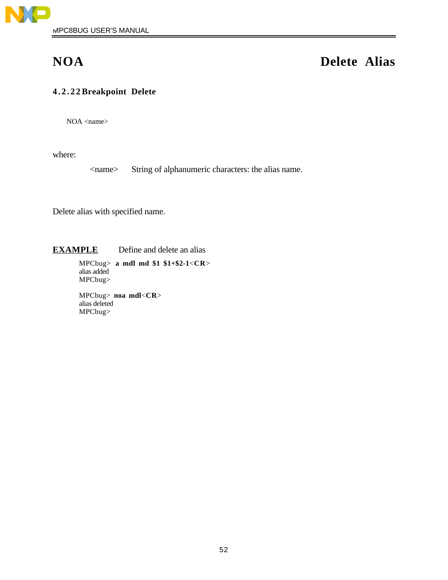

# **NOA Delete Alias**

## **4.2.22 Breakpoint Delete**

NOA <name>

where:

<name> String of alphanumeric characters: the alias name.

Delete alias with specified name.

**EXAMPLE** Define and delete an alias

MPCbug> **a mdl md \$1 \$1+\$2-1**<**CR**> alias added MPCbug>

MPCbug> **noa mdl**<**CR**> alias deleted MPCbug>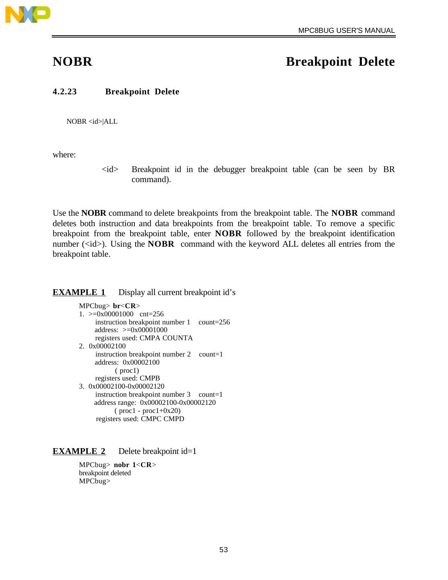

## **NOBR Breakpoint Delete**

### **4.2.23 Breakpoint Delete**

NOBR <id>|ALL

where:

 $\langle id \rangle$  Breakpoint id in the debugger breakpoint table (can be seen by BR command).

Use the **NOBR** command to delete breakpoints from the breakpoint table. The **NOBR** command deletes both instruction and data breakpoints from the breakpoint table. To remove a specific breakpoint from the breakpoint table, enter **NOBR** followed by the breakpoint identification number  $(\langle id \rangle)$ . Using the **NOBR** command with the keyword ALL deletes all entries from the breakpoint table.

### **EXAMPLE 1** Display all current breakpoint id's

MPCbug> **br**<**CR**> 1. >=0x00001000 cnt=256 instruction breakpoint number 1 count=256 address: >=0x00001000 registers used: CMPA COUNTA 2. 0x00002100 instruction breakpoint number 2 count=1 address: 0x00002100 ( proc1) registers used: CMPB 3. 0x00002100-0x00002120 instruction breakpoint number 3 count=1 address range: 0x00002100-0x00002120 ( proc1 - proc1+0x20) registers used: CMPC CMPD

### **EXAMPLE 2** Delete breakpoint id=1

MPCbug> **nobr 1**<**CR**> breakpoint deleted MPCbug>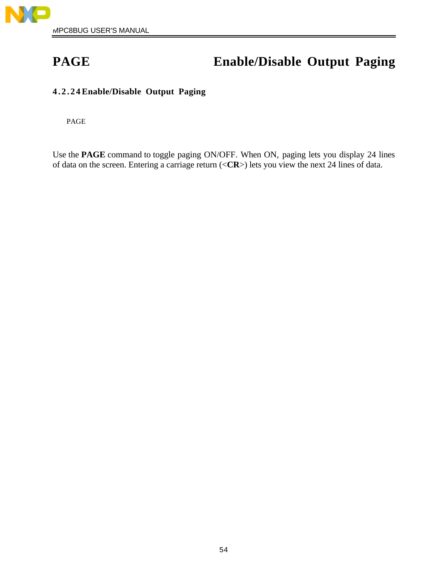

# **PAGE Enable/Disable Output Paging**

## **4.2.24 Enable/Disable Output Paging**

PAGE

Use the **PAGE** command to toggle paging ON/OFF. When ON, paging lets you display 24 lines of data on the screen. Entering a carriage return (<**CR**>) lets you view the next 24 lines of data.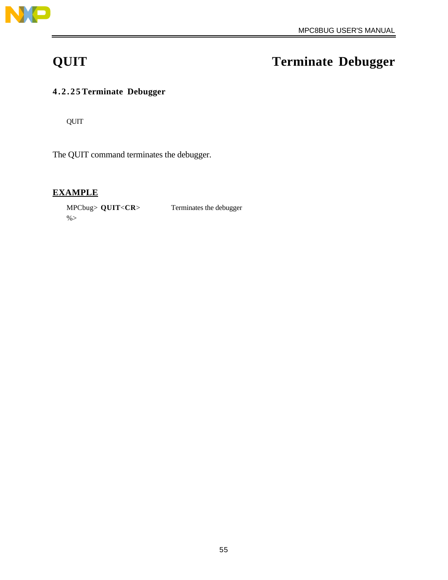

# **QUIT Terminate Debugger**

## **4.2.25 Terminate Debugger**

QUIT

The QUIT command terminates the debugger.

## **EXAMPLE**

MPCbug> **QUIT**<**CR**> Terminates the debugger  $% >$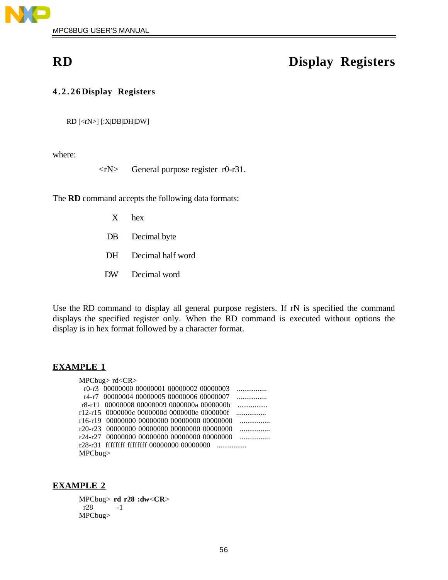

# **RD Display Registers**

## **4.2.26 Display Registers**

RD [<rN>] [:X|DB|DH|DW]

where:

<rN> General purpose register r0-r31.

The **RD** command accepts the following data formats:

- X hex
- DB Decimal byte
- DH Decimal half word
- DW Decimal word

Use the RD command to display all general purpose registers. If rN is specified the command displays the specified register only. When the RD command is executed without options the display is in hex format followed by a character format.

### **EXAMPLE 1**

MPCbug> rd<CR>

|        | r0-r3 00000000 00000001 00000002 00000003   |  | $\ldots \ldots \ldots \ldots$               |
|--------|---------------------------------------------|--|---------------------------------------------|
|        | r4-r7 00000004 00000005 00000006 00000007   |  | $\ldots \ldots \ldots \ldots$               |
|        | r8-r11 00000008 00000009 0000000a 0000000b  |  | $\overline{\phantom{a}}$                    |
|        |                                             |  | r12-r15 0000000c 0000000d 0000000e 0000000f |
|        | r16-r19 00000000 00000000 00000000 00000000 |  | $\overline{\phantom{a}}$                    |
|        | r20-r23 00000000 00000000 00000000 00000000 |  | $\cdots$                                    |
|        | r24-r27 00000000 00000000 00000000 00000000 |  | .                                           |
|        |                                             |  |                                             |
| MPCbug |                                             |  |                                             |
|        |                                             |  |                                             |

### **EXAMPLE 2**

MPCbug> **rd r28 :dw**<**CR**> r28 MPCbug>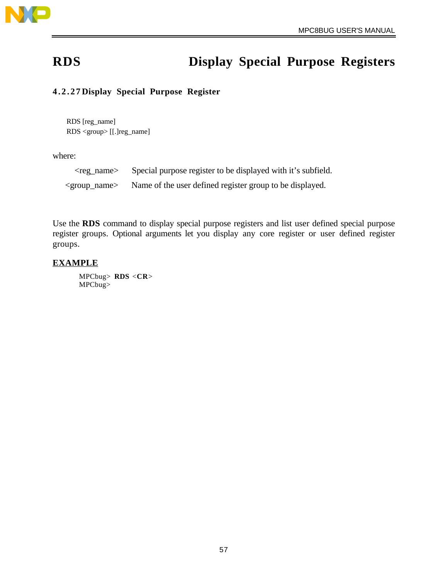

# **RDS Display Special Purpose Registers**

## **4.2.27 Display Special Purpose Register**

RDS [reg\_name] RDS <group> [[.]reg\_name]

where:

| $<$ reg_name $>$          | Special purpose register to be displayed with it's subfield. |
|---------------------------|--------------------------------------------------------------|
| <group_name></group_name> | Name of the user defined register group to be displayed.     |

Use the **RDS** command to display special purpose registers and list user defined special purpose register groups. Optional arguments let you display any core register or user defined register groups.

## **EXAMPLE**

MPCbug> **RDS** <**CR**> MPCbug>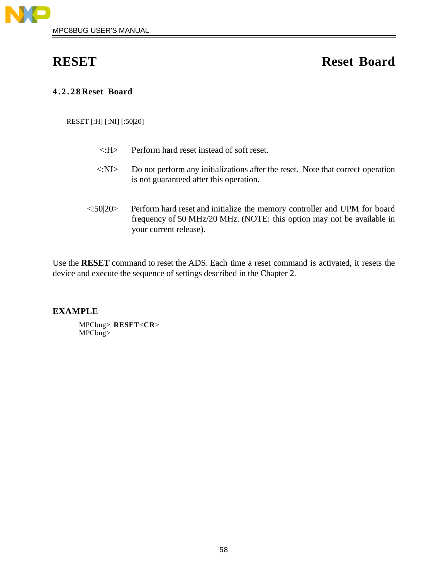

# **RESET Reset Board**

## **4.2.28 Reset Board**

RESET [:H] [:NI] [:50|20]

| $\langle \cdot \cdot H \rangle$ | Perform hard reset instead of soft reset.                                                                                                                                     |
|---------------------------------|-------------------------------------------------------------------------------------------------------------------------------------------------------------------------------|
| $\langle N_S \rangle$           | Do not perform any initializations after the reset. Note that correct operation<br>is not guaranteed after this operation.                                                    |
| <:50 20>                        | Perform hard reset and initialize the memory controller and UPM for board<br>frequency of 50 MHz/20 MHz. (NOTE: this option may not be available in<br>your current release). |

Use the **RESET** command to reset the ADS. Each time a reset command is activated, it resets the device and execute the sequence of settings described in the Chapter 2.

## **EXAMPLE**

MPCbug> **RESET**<**CR**> MPCbug>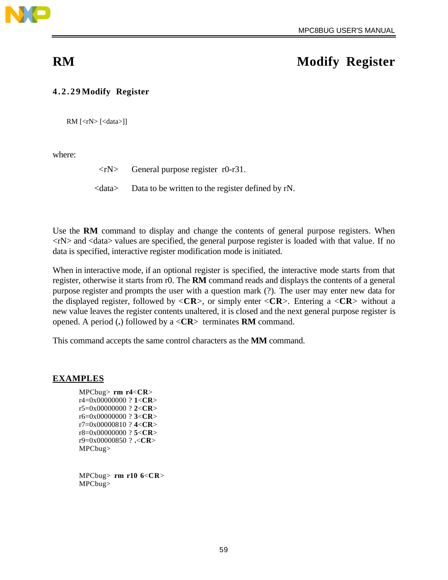

# **RM** Modify Register

## **4.2.29 Modify Register**

 $RM$  [<rN> [<data>]]

where:

 $\langle rN \rangle$  General purpose register r0-r31.

<data> Data to be written to the register defined by rN.

Use the **RM** command to display and change the contents of general purpose registers. When  $\langle rN \rangle$  and  $\langle \langle \langle \rangle \rangle$  values are specified, the general purpose register is loaded with that value. If no data is specified, interactive register modification mode is initiated.

When in interactive mode, if an optional register is specified, the interactive mode starts from that register, otherwise it starts from r0. The **RM** command reads and displays the contents of a general purpose register and prompts the user with a question mark (?). The user may enter new data for the displayed register, followed by <**CR**>, or simply enter <**CR**>. Entering a <**CR**> without a new value leaves the register contents unaltered, it is closed and the next general purpose register is opened. A period (**.**) followed by a <**CR**> terminates **RM** command.

This command accepts the same control characters as the **MM** command.

### **EXAMPLES**

MPCbug> **rm r4**<**CR**> r4=0x00000000 ? **1**<**CR**> r5=0x00000000 ? **2**<**CR**> r6=0x00000000 ? **3**<**CR**> r7=0x00000810 ? **4**<**CR**> r8=0x00000000 ? **5**<**CR**> r9=0x00000850 ? **.**<**CR**> MPCbug>

MPCbug> **rm r10 6**<**CR**> MPCbug>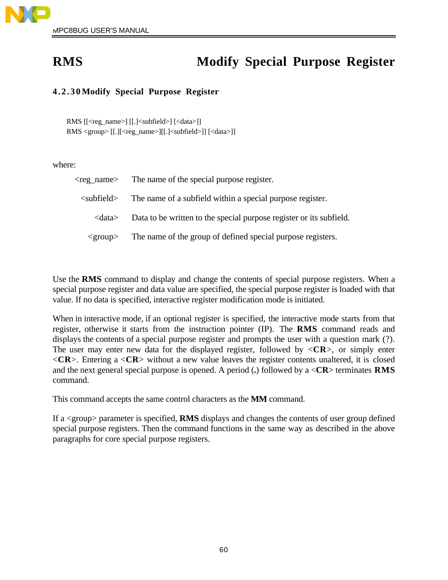

# **RMS** Modify Special Purpose Register

## **4.2.30 Modify Special Purpose Register**

RMS [[<reg\_name>] [[.]<subfield>] [<data>]] RMS <group> [[.][<reg\_name>][[.]<subfield>]] [<data>]]

where:

| <reg name=""></reg>          | The name of the special purpose register.                           |  |  |
|------------------------------|---------------------------------------------------------------------|--|--|
| $\langle$ subfield $\rangle$ | The name of a subfield within a special purpose register.           |  |  |
| <data></data>                | Data to be written to the special purpose register or its subfield. |  |  |
| $<$ group $>$                | The name of the group of defined special purpose registers.         |  |  |

Use the **RMS** command to display and change the contents of special purpose registers. When a special purpose register and data value are specified, the special purpose register is loaded with that value. If no data is specified, interactive register modification mode is initiated.

When in interactive mode, if an optional register is specified, the interactive mode starts from that register, otherwise it starts from the instruction pointer (IP). The **RMS** command reads and displays the contents of a special purpose register and prompts the user with a question mark (?). The user may enter new data for the displayed register, followed by  $\langle CR \rangle$ , or simply enter <**CR**>. Entering a <**CR**> without a new value leaves the register contents unaltered, it is closed and the next general special purpose is opened. A period (**.**) followed by a <**CR**> terminates **RMS** command.

This command accepts the same control characters as the **MM** command.

If a <group> parameter is specified, **RMS** displays and changes the contents of user group defined special purpose registers. Then the command functions in the same way as described in the above paragraphs for core special purpose registers.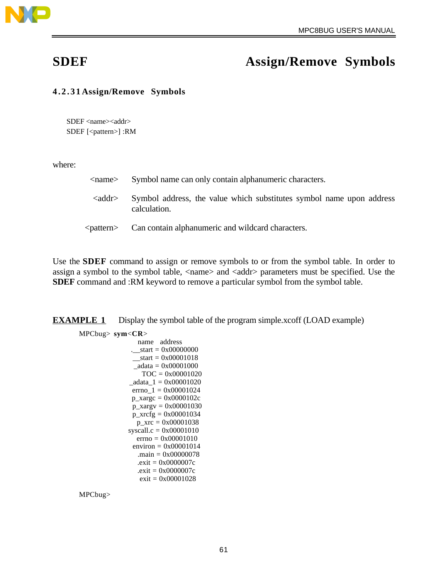

# **SDEF Assign/Remove Symbols**

## **4.2.31 Assign/Remove Symbols**

SDEF <name><addr> SDEF [<pattern>] :RM

where:

| $\langle$ name $\rangle$      | Symbol name can only contain alphanumeric characters.                                |
|-------------------------------|--------------------------------------------------------------------------------------|
| $\langle \text{addr} \rangle$ | Symbol address, the value which substitutes symbol name upon address<br>calculation. |
| <pattern></pattern>           | Can contain alphanumeric and wildcard characters.                                    |

Use the **SDEF** command to assign or remove symbols to or from the symbol table. In order to assign a symbol to the symbol table, <name> and <addr> parameters must be specified. Use the **SDEF** command and :RM keyword to remove a particular symbol from the symbol table.

**EXAMPLE 1** Display the symbol table of the program simple.xcoff (LOAD example)

MPCbug> **sym**<**CR**>

 name address .\_\_start = 0x00000000  $_$  \_\_start = 0x00001018  $_4$ adata = 0x00001000 TOC = 0x00001020  $\_a data_1 = 0x00001020$  $errno_1 = 0x00001024$  $p_{\text{xarge}} = 0x0000102c$  p\_xargv = 0x00001030 p\_xrcfg = 0x00001034  $p_{\text{XTC}} = 0x00001038$  syscall.c = 0x00001010  $errno = 0x00001010$ environ =  $0x00001014$  .main = 0x00000078 .exit = 0x0000007c .exit = 0x0000007c exit = 0x00001028

MPCbug>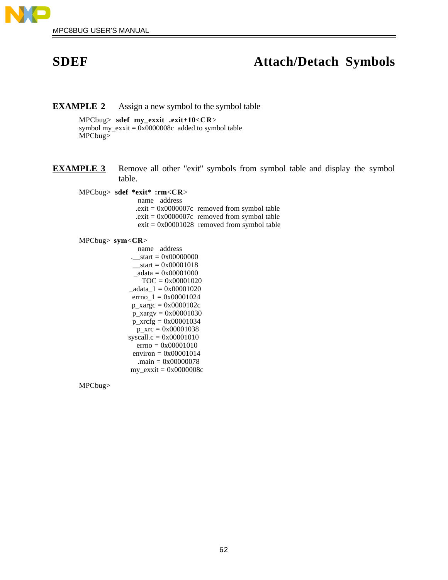

# **SDEF Attach/Detach Symbols**

### **EXAMPLE 2** Assign a new symbol to the symbol table

MPCbug> **sdef my\_exxit .exit+10**<**CR**> symbol my\_exxit = 0x0000008c added to symbol table MPCbug>

**EXAMPLE 3** Remove all other "exit" symbols from symbol table and display the symbol table.

MPCbug> **sdef \*exit\* :rm**<**CR**>

 name address  $.$ exit = 0x0000007 $c$  removed from symbol table  $.$ exit = 0x0000007 $c$  removed from symbol table  $exit = 0x00001028$  removed from symbol table

### MPCbug> **sym**<**CR**>

 name address .\_\_start = 0x00000000  $_$ <u>start</u> = 0x00001018  $\_a data = 0x00001000$  TOC = 0x00001020  $\_a data_1 = 0x00001020$ errno $_1 = 0x00001024$  p\_xargc = 0x0000102c p\_xargv = 0x00001030 p\_xrcfg = 0x00001034  $p_{xrc} = 0x00001038$  syscall.c = 0x00001010 errno = 0x00001010 environ =  $0x00001014$  .main = 0x00000078 my\_exxit = 0x0000008c

MPCbug>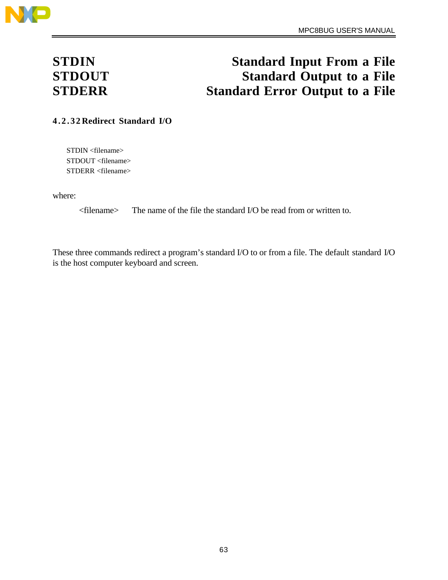

# **STDIN Standard Input From a File STDOUT Standard Output to a File STDERR Standard Error Output to a File**

**4.2.32 Redirect Standard I/O**

STDIN <filename> STDOUT <filename> STDERR <filename>

where:

<filename> The name of the file the standard I/O be read from or written to.

These three commands redirect a program's standard I/O to or from a file. The default standard I/O is the host computer keyboard and screen.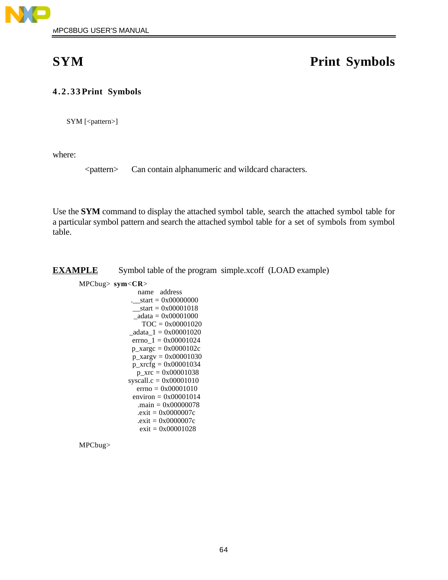

# **SYM Print Symbols**

## **4.2.33 Print Symbols**

SYM [<pattern>]

where:

<pattern> Can contain alphanumeric and wildcard characters.

Use the **SYM** command to display the attached symbol table, search the attached symbol table for a particular symbol pattern and search the attached symbol table for a set of symbols from symbol table.

**EXAMPLE** Symbol table of the program simple.xcoff (LOAD example)

### MPCbug> **sym**<**CR**>

 name address .\_\_start = 0x00000000  $_$  \_\_ start = 0x00001018  $\_a data = 0x00001000$  $TOC = 0x00001020$  $\_a data_1 = 0x00001020$  errno\_1 = 0x00001024  $p_{\text{xarge}} = 0x0000102c$  p\_xargv = 0x00001030  $p_{\text{arcfg}} = 0x00001034$  $p_{xrc} = 0x00001038$ syscall.c =  $0x00001010$ errno =  $0x00001010$ environ =  $0x00001014$  .main = 0x00000078  $.$ exit = 0x0000007 $c$  $exit = 0x0000007c$  $exit = 0x00001028$ 

MPCbug>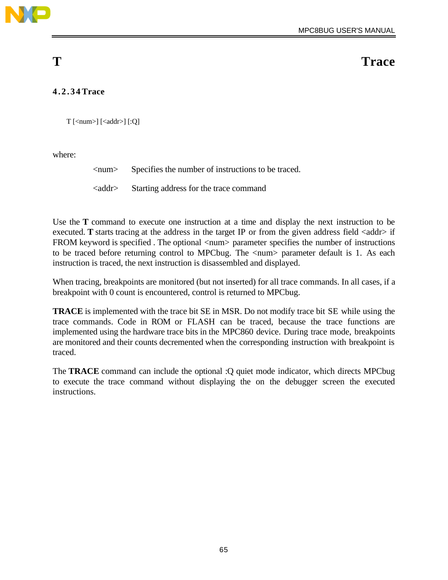

**T** Trace

## **4.2.34 Trace**

 $T$  [<num>] [<addr>] [:Q]

where:

<num> Specifies the number of instructions to be traced.

<addr> Starting address for the trace command

Use the **T** command to execute one instruction at a time and display the next instruction to be executed. **T** starts tracing at the address in the target IP or from the given address field  $\langle \text{addr} \rangle$  if FROM keyword is specified. The optional  $\langle$ num $\rangle$  parameter specifies the number of instructions to be traced before returning control to MPCbug. The  $\langle$ num $\rangle$  parameter default is 1. As each instruction is traced, the next instruction is disassembled and displayed.

When tracing, breakpoints are monitored (but not inserted) for all trace commands. In all cases, if a breakpoint with 0 count is encountered, control is returned to MPCbug.

**TRACE** is implemented with the trace bit SE in MSR. Do not modify trace bit SE while using the trace commands. Code in ROM or FLASH can be traced, because the trace functions are implemented using the hardware trace bits in the MPC860 device. During trace mode, breakpoints are monitored and their counts decremented when the corresponding instruction with breakpoint is traced.

The **TRACE** command can include the optional :Q quiet mode indicator, which directs MPCbug to execute the trace command without displaying the on the debugger screen the executed instructions.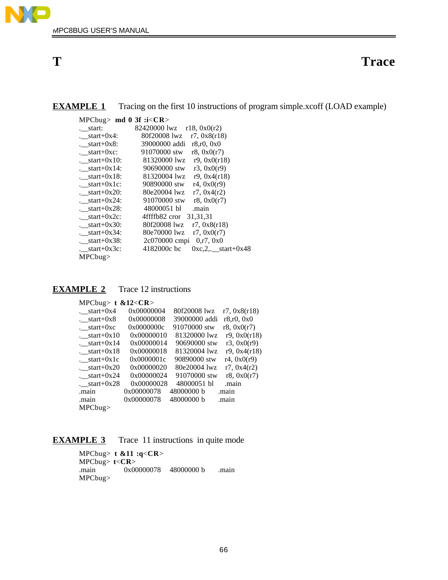

## **T** Trace

| <b>EXAMPLE 1</b> | Tracing on the first 10 instructions of program simple.xcoff (LOAD example) |  |  |
|------------------|-----------------------------------------------------------------------------|--|--|
|                  |                                                                             |  |  |

| MPCbug> md $0 \text{ 3f}$ :i <cr></cr> |                                        |
|----------------------------------------|----------------------------------------|
| . start:                               | 82420000 lwz $r18, 0x0(r2)$            |
| $f_{\text{start}+0x4}$ :               | 80f20008 lwz<br>r7, 0x8(r18)           |
| $f_{\text{start}+0x8}$ :               | 39000000 addi<br>r8,r0,0x0             |
| $: start+0xc:$                         | 91070000 stw<br>r8, 0x0(r7)            |
| $\text{10}:$ start+0x10:               | 81320000 lwz<br>r9.0x0(r18)            |
| $\text{13}$ .                          | 90690000 stw<br>r3.0x0(r9)             |
| $.$ start+0x18:                        | 81320004 lwz<br>r9.0x4(r18)            |
| $: start+0x1c:$                        | 90890000 stw<br>r4, 0x0(r9)            |
| $: start+0x20:$                        | 80e20004 lwz<br>r7, 0x4(r2)            |
| $: start+0x24$ :                       | 91070000 stw<br>r8, 0x0(r7)            |
| $: start+0x28:$                        | 48000051 bl<br>.main                   |
| $: start+0x2c$                         | 4ffffb82 cror<br>31, 31, 31            |
| $: start+0x30:$                        | 80f20008 lwz<br>r7, 0x8(r18)           |
| $: start+0x34$ :                       | 80e70000 lwz<br>r7, 0x0(r7)            |
| $: start+0x38$ :                       | 2c070000 cmpi<br>0, r7, 0x0            |
| . $start+0x3c$ :                       | 4182000c bc<br>$0xc, 2,$ start+ $0x48$ |
| $MPC$ bug>                             |                                        |

| <b>EXAMPLE 2</b> | Trace 12 instructions |
|------------------|-----------------------|
|------------------|-----------------------|

| MPCbug> $t \& 12 < CR$ >    |            |               |              |
|-----------------------------|------------|---------------|--------------|
| $: start+0x4$               | 0x00000004 | 80f20008 lwz  | r7, 0x8(r18) |
| $: start+0x8$               | 0x00000008 | 39000000 addi | r8.r0.0x0    |
| $: start+0xc$               | 0x0000000c | 91070000 stw  | r8, 0x0(r7)  |
| $\frac{\text{start}+0x}{0}$ | 0x00000010 | 81320000 lwz  | r9, 0x0(r18) |
| $: start+0x14$              | 0x00000014 | 90690000 stw  | r3, 0x0(r9)  |
| $: start+0x18$              | 0x00000018 | 81320004 lwz  | r9, 0x4(r18) |
| $.$ _start+0x1c             | 0x0000001c | 90890000 stw  | r4, 0x0(r9)  |
| $20$ .                      | 0x00000020 | 80e20004 lwz  | r7, 0x4(r2)  |
| $: start+0x24$              | 0x00000024 | 91070000 stw  | r8, 0x0(r7)  |
| $28$ .                      | 0x00000028 | 48000051 bl   | .main        |
| .main                       | 0x00000078 | 48000000 b    | .main        |
| .main                       | 0x00000078 | 48000000 b    | .main        |
| MPCbug                      |            |               |              |

## **EXAMPLE 3** Trace 11 instructions in quite mode

MPCbug> **t &11 :q**<**CR**> MPCbug> **t**<**CR**> .main 0x00000078 48000000 b .main MPCbug>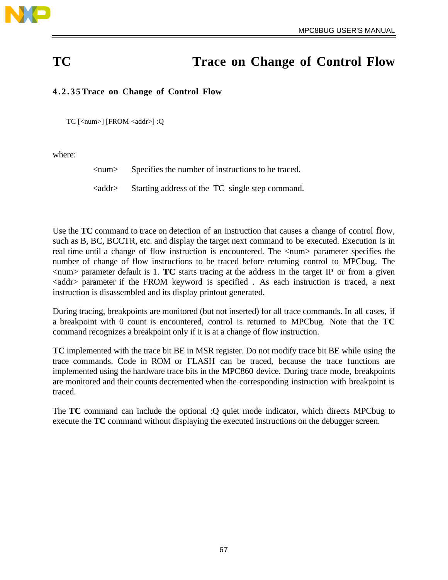

# **TC** Trace on Change of Control Flow

## **4.2.35 Trace on Change of Control Flow**

TC [<num>] [FROM <addr>] :Q

where:

<num> Specifies the number of instructions to be traced.

<addr> Starting address of the TC single step command.

Use the **TC** command to trace on detection of an instruction that causes a change of control flow, such as B, BC, BCCTR, etc. and display the target next command to be executed. Execution is in real time until a change of flow instruction is encountered. The <num> parameter specifies the number of change of flow instructions to be traced before returning control to MPCbug. The  $\langle$ num $\rangle$  parameter default is 1. **TC** starts tracing at the address in the target IP or from a given <addr> parameter if the FROM keyword is specified . As each instruction is traced, a next instruction is disassembled and its display printout generated.

During tracing, breakpoints are monitored (but not inserted) for all trace commands. In all cases, if a breakpoint with 0 count is encountered, control is returned to MPCbug. Note that the **TC** command recognizes a breakpoint only if it is at a change of flow instruction.

**TC** implemented with the trace bit BE in MSR register. Do not modify trace bit BE while using the trace commands. Code in ROM or FLASH can be traced, because the trace functions are implemented using the hardware trace bits in the MPC860 device. During trace mode, breakpoints are monitored and their counts decremented when the corresponding instruction with breakpoint is traced.

The **TC** command can include the optional :Q quiet mode indicator, which directs MPCbug to execute the **TC** command without displaying the executed instructions on the debugger screen.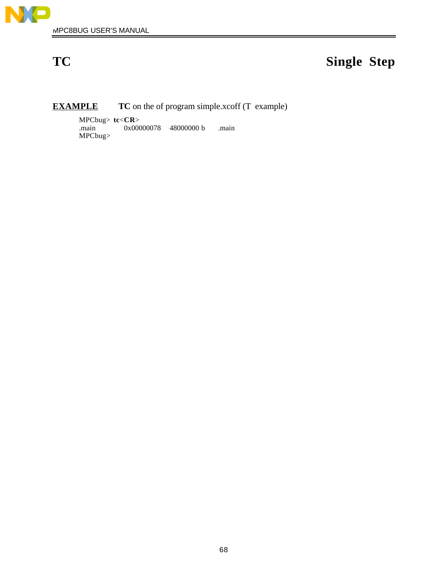

# **TC Single Step**

## **EXAMPLE** TC on the of program simple.xcoff (T example)

MPCbug> **tc**<**CR**> .main 0x00000078 48000000 b .main MPCbug>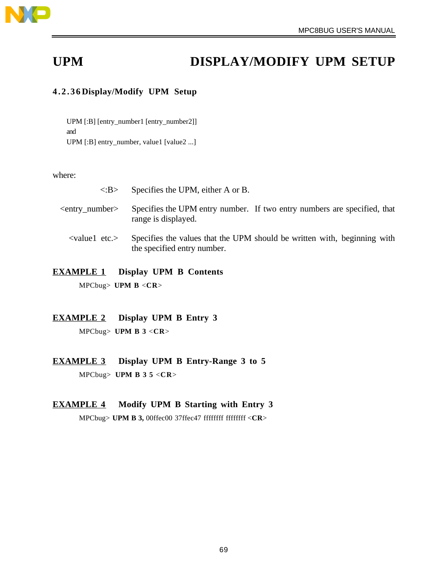

# UPM DISPLAY/MODIFY UPM SETUP

## **4.2.36 Display/Modify UPM Setup**

UPM [:B] [entry\_number1 [entry\_number2]] and UPM [:B] entry\_number, value1 [value2 ...]

where:

| $\langle$ :B $>$        | Specifies the UPM, either A or B.                                                               |  |
|-------------------------|-------------------------------------------------------------------------------------------------|--|
| $\leq$ entry number $>$ | Specifies the UPM entry number. If two entry numbers are specified, that<br>range is displayed. |  |

<value1 etc.> Specifies the values that the UPM should be written with, beginning with the specified entry number.

# **EXAMPLE 1 Display UPM B Contents**

MPCbug> **UPM B** <**CR**>

## **EXAMPLE 2 Display UPM B Entry 3** MPCbug> **UPM B 3** <**CR**>

 **EXAMPLE 3 Display UPM B Entry-Range 3 to 5** MPCbug> **UPM B 3 5** <**CR**>

## **EXAMPLE 4 Modify UPM B Starting with Entry 3** MPCbug> **UPM B 3,** 00ffec00 37ffec47 ffffffff ffffffff <**CR**>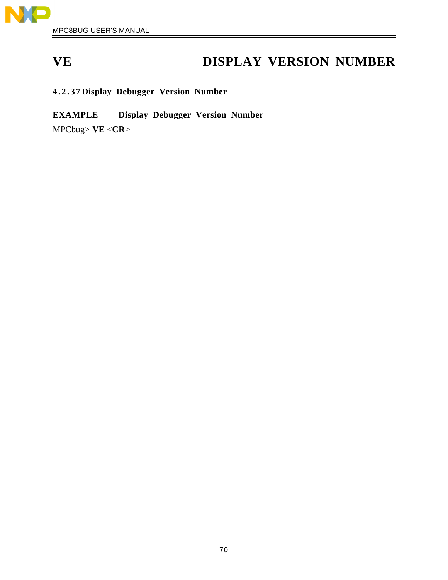

# **VE DISPLAY VERSION NUMBER**

**4.2.37 Display Debugger Version Number**

 **EXAMPLE Display Debugger Version Number** MPCbug> **VE** <**CR**>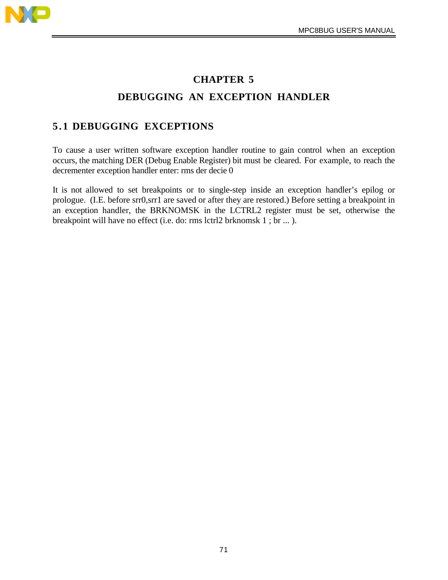

# **CHAPTER 5 DEBUGGING AN EXCEPTION HANDLER**

## **5.1 DEBUGGING EXCEPTIONS**

To cause a user written software exception handler routine to gain control when an exception occurs, the matching DER (Debug Enable Register) bit must be cleared. For example, to reach the decrementer exception handler enter: rms der decie 0

It is not allowed to set breakpoints or to single-step inside an exception handler's epilog or prologue. (I.E. before srr0,srr1 are saved or after they are restored.) Before setting a breakpoint in an exception handler, the BRKNOMSK in the LCTRL2 register must be set, otherwise the breakpoint will have no effect (i.e. do: rms lctrl2 brknomsk 1 ; br ... ).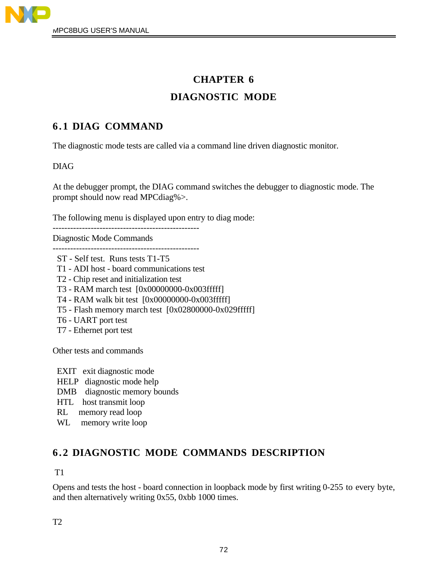

# **CHAPTER 6 DIAGNOSTIC MODE**

## **6.1 DIAG COMMAND**

The diagnostic mode tests are called via a command line driven diagnostic monitor.

## DIAG

At the debugger prompt, the DIAG command switches the debugger to diagnostic mode. The prompt should now read MPCdiag%>.

The following menu is displayed upon entry to diag mode:

-------------------------------------------------- Diagnostic Mode Commands

--------------------------------------------------

- ST Self test. Runs tests T1-T5
- T1 ADI host board communications test
- T2 Chip reset and initialization test
- T3 RAM march test [0x00000000-0x003fffff]
- T4 RAM walk bit test [0x00000000-0x003fffff]
- T5 Flash memory march test [0x02800000-0x029fffff]
- T6 UART port test
- T7 Ethernet port test

Other tests and commands

- EXIT exit diagnostic mode
- HELP diagnostic mode help
- DMB diagnostic memory bounds
- HTL host transmit loop
- RL memory read loop
- WL memory write loop

## **6.2 DIAGNOSTIC MODE COMMANDS DESCRIPTION**

## T1

Opens and tests the host - board connection in loopback mode by first writing 0-255 to every byte, and then alternatively writing 0x55, 0xbb 1000 times.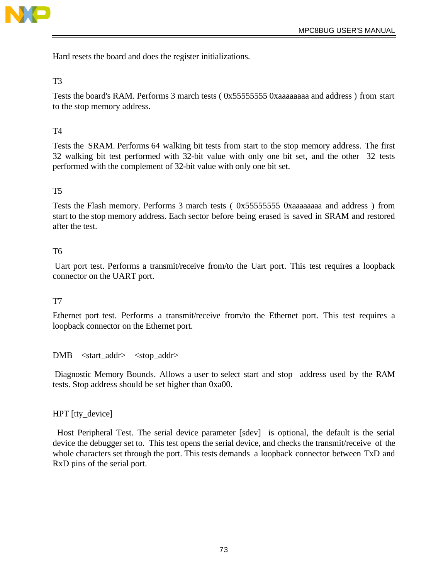

Hard resets the board and does the register initializations.

#### T3

Tests the board's RAM. Performs 3 march tests ( 0x55555555 0xaaaaaaaa and address ) from start to the stop memory address.

### T4

Tests the SRAM. Performs 64 walking bit tests from start to the stop memory address. The first 32 walking bit test performed with 32-bit value with only one bit set, and the other 32 tests performed with the complement of 32-bit value with only one bit set.

#### T5

Tests the Flash memory. Performs 3 march tests ( 0x55555555 0xaaaaaaaa and address ) from start to the stop memory address. Each sector before being erased is saved in SRAM and restored after the test.

#### T6

 Uart port test. Performs a transmit/receive from/to the Uart port. This test requires a loopback connector on the UART port.

#### T7

Ethernet port test. Performs a transmit/receive from/to the Ethernet port. This test requires a loopback connector on the Ethernet port.

DMB <start\_addr> <stop\_addr>

 Diagnostic Memory Bounds. Allows a user to select start and stop address used by the RAM tests. Stop address should be set higher than 0xa00.

#### HPT [tty\_device]

 Host Peripheral Test. The serial device parameter [sdev] is optional, the default is the serial device the debugger set to. This test opens the serial device, and checks the transmit/receive of the whole characters set through the port. This tests demands a loopback connector between TxD and RxD pins of the serial port.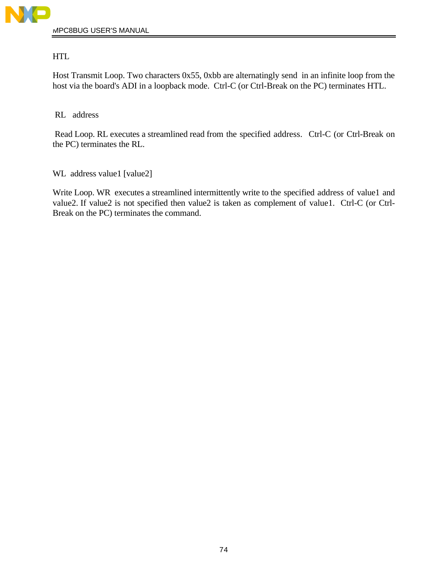

HTL

Host Transmit Loop. Two characters 0x55, 0xbb are alternatingly send in an infinite loop from the host via the board's ADI in a loopback mode. Ctrl-C (or Ctrl-Break on the PC) terminates HTL.

RL address

 Read Loop. RL executes a streamlined read from the specified address. Ctrl-C (or Ctrl-Break on the PC) terminates the RL.

WL address value1 [value2]

Write Loop. WR executes a streamlined intermittently write to the specified address of value1 and value2. If value2 is not specified then value2 is taken as complement of value1. Ctrl-C (or Ctrl-Break on the PC) terminates the command.